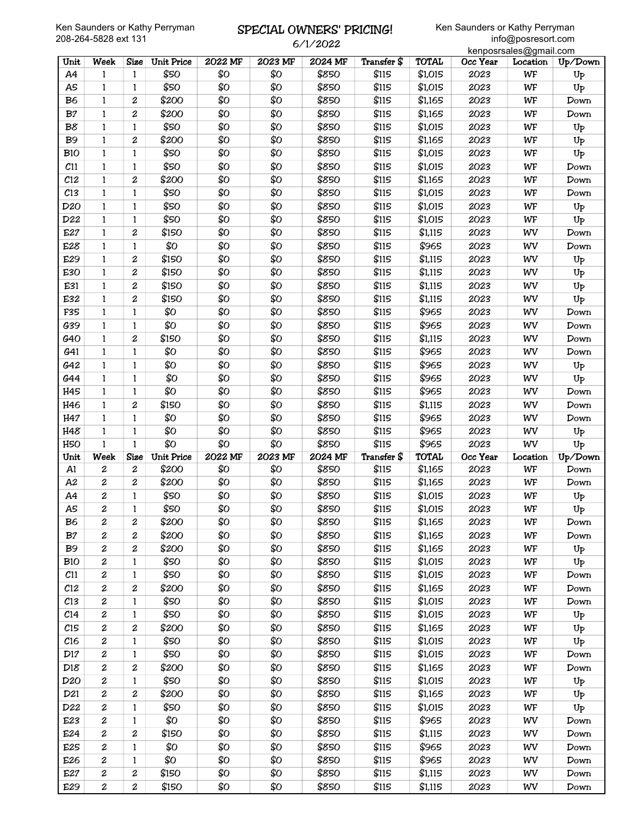### SPECIAL OWNERS' PRICING! 6/1/2022

|                 |                                      |                       |                   |            |            |                |                |                    |              | kenposrsales@gmail.com |                        |
|-----------------|--------------------------------------|-----------------------|-------------------|------------|------------|----------------|----------------|--------------------|--------------|------------------------|------------------------|
| Unit            | Week                                 | <b>Size</b>           | <b>Unit Price</b> | 2022 MF    | 2023 MF    | 2024 MF        | Transfer \$    | TOTAL              | Occ Year     | Location               | Up/Down                |
| A4              | 1                                    | 1                     | \$50              | \$0        | \$0        | \$850          | \$115          | \$1,015            | 2023         | WF                     | $U_{P}$                |
| A5              | 1                                    | 1                     | \$50              | \$Ο        | \$Ο        | \$850          | \$115          | \$1,015            | 2023         | WF                     | Up                     |
| B <sub>6</sub>  | $\mathbf{1}$                         | $\boldsymbol{2}$      | \$200             | \$0        | \$0        | \$850          | \$115          | \$1,165            | 2023         | WF                     | Down                   |
| B <sub>7</sub>  | $\mathbf{1}$                         | $\boldsymbol{2}$      | \$200             | \$Ο        | \$Ο        | \$850          | \$115          | \$1,165            | 2023         | WF                     | Down                   |
| B8              | $\mathbf{1}$                         | 1                     | \$50              | \$Ο        | \$Ο        | \$850          | \$115          | \$1,015            | 2023         | WF                     | U <sub>P</sub>         |
| <b>B9</b>       | $\mathbf{1}$                         | $\boldsymbol{2}$      | \$200             | \$Ο        | \$Ο        | \$850          | \$115          | \$1,165            | 2023         | WF                     | U <sub>P</sub>         |
| <b>B10</b>      | 1                                    | 1                     | \$50              | \$0        | \$Ο        | \$850          | \$115          | \$1,015            | 2023         | WF                     | Up                     |
| C11             | 1                                    | 1                     | \$50              | \$Ο        | \$0        | \$850          | \$115          | \$1,015            | 2023         | WF                     | Down                   |
|                 |                                      |                       |                   |            |            |                |                |                    |              |                        |                        |
| C <sub>12</sub> | 1                                    | $\boldsymbol{2}$      | \$200             | \$0        | \$Ο        | \$850          | \$115          | \$1,165            | 2023         | WF                     | Down                   |
| C13             | $\mathbf{1}$                         | $\mathbf{1}$          | \$50              | \$0        | \$0        | \$850          | \$115          | \$1,015            | 2023         | WF                     | Down                   |
| D <sub>20</sub> | $\mathbf{1}$                         | $\mathbf{1}$          | \$50              | \$0        | \$Ο        | \$850          | \$115          | \$1,015            | 2023         | WF                     | $U_{P}$                |
| D22             | 1                                    | 1                     | \$50              | \$Ο        | \$Ο        | \$850          | \$115          | \$1,015            | 2023         | WF                     | $U_{P}$                |
| E27             | 1                                    | $\boldsymbol{2}$      | \$150             | \$Ο        | \$Ο        | \$850          | \$115          | \$1,115            | 2023         | WV                     | Down                   |
| E28             | 1                                    | 1                     | \$Ο               | \$0        | \$Ο        | \$850          | \$115          | \$965              | 2023         | WV                     | Down                   |
| E29             | 1                                    | 2                     | \$150             | \$Ο        | \$0        | \$850          | \$115          | \$1,115            | 2023         | WV                     | $U_{P}$                |
| E30             | 1                                    | 2                     | \$150             | \$Ο        | \$Ο        | \$850          | \$115          | \$1,115            | 2023         | WV                     | Up                     |
| E31             | $\mathbf{1}$                         | $\boldsymbol{2}$      | \$150             | \$Ο        | \$0        | \$850          | \$115          | \$1,115            | 2023         | WV                     | $U_{P}$                |
| E32             | $\mathbf{1}$                         | $\boldsymbol{2}$      | \$150             | \$0        | \$Ο        | \$850          | \$115          | \$1,115            | 2023         | WV                     | Up                     |
| F35             | $\mathbf{1}$                         | $\mathbf{1}$          | \$0               | \$Ο        | \$Ο        | \$850          | \$115          | \$965              | 2023         | WV                     | Down                   |
| G39             | $\mathbf{1}$                         | 1                     | \$Ο               | \$Ο        | \$Ο        | \$850          | \$115          | \$965              | 2023         | WV                     | Down                   |
| G40             | 1                                    | $\boldsymbol{2}$      | \$150             | \$0        | \$Ο        | \$850          | \$115          | \$1,115            | 2023         | WV                     | Down                   |
| G41             | 1                                    | 1                     | \$Ο               | \$0        | \$0        | \$850          | \$115          | \$965              | 2023         | WV                     | Down                   |
| G42             | 1                                    | 1                     | \$0               | \$0        | \$0        | \$850          | \$115          | \$965              | 2023         | WV                     | Up                     |
| G44             | $\mathbf{1}$                         | $\mathbf{1}$          | \$0               | \$0        | \$Ο        | \$850          | \$115          | \$965              | 2023         | WV                     | Up                     |
| H45             | 1                                    | 1                     | \$Ο               | \$0        | \$Ο        | \$850          | \$115          | \$965              | 2023         | WV                     | Down                   |
|                 |                                      |                       | \$150             | \$Ο        | \$Ο        | \$850          | \$115          |                    |              |                        |                        |
| H46             | 1                                    | 2                     |                   |            |            |                |                | \$1,115            | 2023         | WV                     | Down                   |
| H47             | 1<br>$\mathbf{1}$                    | 1<br>$\mathbf{1}$     | \$0<br>\$Ο        | \$Ο<br>\$Ο | \$Ο<br>\$Ο | \$850<br>\$850 | \$115<br>\$115 | \$965              | 2023<br>2023 | WV                     | Down                   |
| H48             |                                      |                       |                   |            |            |                |                |                    |              |                        |                        |
|                 |                                      |                       |                   |            |            |                |                | \$965              |              | WV                     | $U_{P}$                |
| H <sub>50</sub> | $\mathbf{1}$                         | 1                     | \$0               | \$0        | \$0        | \$850          | \$115          | \$965              | 2023         | WV                     | Up                     |
| Unit            | Week                                 | Size                  | <b>Unit Price</b> | 2022 MF    | 2023 MF    | 2024 MF        | Transfer \$    | <b>TOTAL</b>       | Occ Year     | Location               | Up/Down                |
| A1              | 2                                    | 2                     | \$200             | \$0        | \$Ο        | \$850          | \$115          | \$1,165            | 2023         | WF                     | Down                   |
| A2              | 2                                    | 2                     | \$200             | \$0        | \$Ο        | \$850          | \$115          | \$1,165            | 2023         | WF                     | Down                   |
| A4              | 2                                    | 1                     | \$50              | \$Ο        | \$Ο        | \$850          | \$115          | \$1,015            | 2023         | WF                     | $U_{P}$                |
| A5              | 2                                    | $\mathbf{1}$          | \$50              | \$Ο        | \$Ο        | \$850          | \$115          | \$1,015            | 2023         | WF                     | $\mathrm{U}\mathrm{P}$ |
| B <sub>6</sub>  | 2                                    | 2                     | \$200             | \$Ο        | \$Ο        | \$850          | \$115          | \$1,165            | 2023         | WF                     | Down                   |
| B7              | 2                                    | $\boldsymbol{2}$      | \$200             | \$Ο        | \$Ο        | \$850          | \$115          | \$1,165            | 2023         | WF                     | Down                   |
| B <sub>9</sub>  | $\boldsymbol{2}$                     | 2                     | \$200             | \$Ο        | \$0        | \$850          | \$115          | \$1,165            | 2023         | WF                     | $U_{P}$                |
| <b>B10</b>      | 2                                    | 1                     | \$50              | \$Ο        | \$Ο        | \$850          | \$115          | \$1,015            | 2023         | WF                     | $U_{P}$                |
| $c_{11}$        | $\boldsymbol{2}$                     | 1                     | \$50              | \$Ο        | \$Ο        | \$850          | \$115          | \$1,015            | 2023         | WF                     | Down                   |
| C12             | $\boldsymbol{2}$                     | $\boldsymbol{2}$      | \$200             | \$Ο        | \$Ο        | \$850          | \$115          | \$1,165            | 2023         | WF                     | Down                   |
| C <sub>13</sub> | $\boldsymbol{2}$                     | $\mathbf{1}$          | \$50              | \$Ο        | \$0        | \$850          | \$115          | \$1,015            | 2023         | WF                     | Down                   |
| C <sub>14</sub> | 2                                    | 1                     | \$50              | \$Ο        | \$Ο        | \$850          | \$115          | \$1,015            | 2023         | WF                     | $U_{P}$                |
| C15             | 2                                    | 2                     | \$200             | \$Ο        | \$Ο        | \$850          | \$115          | \$1,165            | 2023         | WF                     | $U_{P}$                |
| C16             | 2                                    | 1                     | \$50              | \$Ο        | \$Ο        | \$850          | \$115          | \$1,015            | 2023         | WF                     |                        |
| D17             | 2                                    | 1                     | \$50              |            |            |                |                |                    | 2023         | WF                     | $U_{P}$                |
| D18             | $\boldsymbol{2}$                     | 2                     | \$200             | \$Ο<br>\$Ο | \$Ο<br>\$Ο | \$850<br>\$850 | \$115<br>\$115 | \$1,015<br>\$1,165 | 2023         | WF                     | Down<br>Down           |
|                 | $\boldsymbol{2}$                     | $\mathbf{1}$          |                   |            |            |                |                |                    |              |                        |                        |
| D <sub>20</sub> | 2                                    | $\boldsymbol{2}$      | \$50              | \$Ο        | \$Ο        | \$850          | \$115          | \$1,015            | 2023         | WF                     | $U_{P}$                |
| D21             |                                      |                       | \$200             | \$Ο        | \$Ο        | \$850          | \$115          | \$1,165            | 2023         | WF                     | $U_{P}$                |
| D22             | 2                                    | 1                     | \$50              | \$Ο        | \$Ο        | \$850          | \$115          | \$1,015            | 2023         | WF                     | $U_{P}$                |
| E23             | $\boldsymbol{2}$                     | 1                     | \$Ο               | \$Ο        | \$Ο        | \$850          | \$115          | \$965              | 2023         | WV                     | Down                   |
| E24             | $\boldsymbol{2}$                     | $\boldsymbol{2}$      | \$150             | \$Ο        | \$Ο        | \$850          | \$115          | \$1,115            | 2023         | WV                     | Down                   |
| E25             | 2                                    | 1                     | \$О               | \$Ο        | \$Ο        | \$850          | \$115          | \$965              | 2023         | WV                     | Down                   |
| E26             | 2                                    | 1                     | \$Ο               | \$Ο        | \$Ο        | \$850          | \$115          | \$965              | 2023         | WV                     | Down                   |
| E27<br>E29      | $\boldsymbol{2}$<br>$\boldsymbol{2}$ | 2<br>$\boldsymbol{2}$ | \$150<br>\$150    | \$Ο<br>\$Ο | \$Ο<br>\$Ο | \$850<br>\$850 | \$115<br>\$115 | \$1,115<br>\$1,115 | 2023<br>2023 | WV<br>WV               | Down<br>Down           |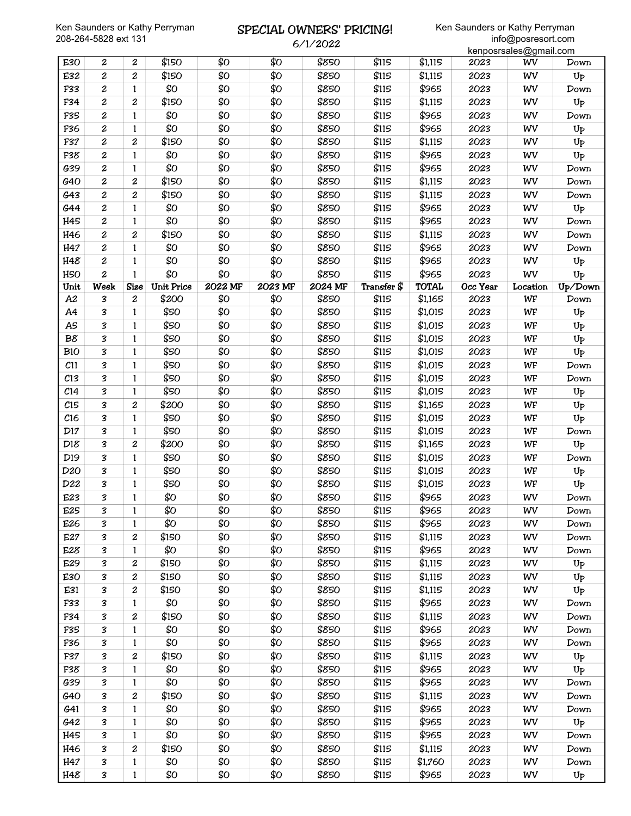### SPECIAL OWNERS' PRICING! 6/1/2022

|                 |                            |                  |                 |                 |                 |         |             |              |          | kenposrsales@gmail.com |                |
|-----------------|----------------------------|------------------|-----------------|-----------------|-----------------|---------|-------------|--------------|----------|------------------------|----------------|
| E30             | $\boldsymbol{2}$           | $\boldsymbol{2}$ | \$150           | \$0             | \$Ο             | \$850   | \$115       | \$1,115      | 2023     | WV                     | Down           |
| E32             | $\boldsymbol{2}$           | 2                | \$150           | \$0             | \$Ο             | \$850   | \$115       | \$1,115      | 2023     | WV                     | U <sub>P</sub> |
| F33             | $\boldsymbol{2}$           | $\mathbf{1}$     | \$Ο             | \$Ο             | \$Ο             | \$850   | \$115       | \$965        | 2023     | WV                     | Down           |
| F34             | 2                          | 2                | \$150           | \$Ο             | \$Ο             | \$850   | \$115       | \$1,115      | 2023     | WV                     | Up             |
| F35             | $\boldsymbol{2}$           | 1                | \$Ο             | \$Ο             | \$Ο             | \$850   | \$115       | \$965        | 2023     | WV                     | Down           |
| F36             | 2                          | 1                | \$Ο             | \$0             | \$Ο             | \$850   | \$115       | \$965        | 2023     | WV                     | $U_{P}$        |
| F37             | 2                          | 2                | \$150           | \$0             | \$Ο             | \$850   | \$115       | \$1,115      | 2023     | WV                     | Up             |
| F38             | $\boldsymbol{2}$           | 1                | \$Ο             | \$0             | \$Ο             | \$850   | \$115       | \$965        | 2023     | WV                     | Up             |
| G39             | $\boldsymbol{2}$           | $\mathbf{1}$     | \$Ο             | \$0             | \$Ο             | \$850   | \$115       | \$965        | 2023     | WV                     | Down           |
| G40             | $\boldsymbol{2}$           | 2                | \$150           | \$Ο             | \$Ο             | \$850   | \$115       | \$1,115      | 2023     | WV                     | Down           |
| G43             | 2                          | 2                | \$150           | \$Ο             | \$Ο             | \$850   | \$115       | \$1,115      | 2023     | WV                     | Down           |
| G44             | 2                          | 1                | \$Ο             | \$0             | \$Ο             | \$850   | \$115       | \$965        | 2023     | WV                     | Up             |
| H45             | 2                          |                  | \$Ο             | \$0             | \$Ο             | \$850   | \$115       | \$965        | 2023     | WV                     | Down           |
|                 |                            | 1                |                 |                 | \$Ο             |         |             |              |          |                        |                |
| H46             | $\boldsymbol{2}$           | 2                | \$150           | \$0             |                 | \$850   | \$115       | \$1,115      | 2023     | WV                     | Down           |
| H47             | $\boldsymbol{2}$           | 1                | \$0             | \$0             | \$Ο             | \$850   | \$115       | \$965        | 2023     | WV                     | Down           |
| H48             | 2                          | $\mathbf{1}$     | \$Ο             | \$0             | \$Ο             | \$850   | \$115       | \$965        | 2023     | WV                     | U <sub>P</sub> |
| H <sub>50</sub> | $\boldsymbol{2}$           | $\mathbf{1}$     | \$Ο             | \$0             | \$Ο             | \$850   | \$115       | \$965        | 2023     | WV                     | Up             |
| Unit            | Week                       | <b>Size</b>      | Unit Price      | 2022 MF         | 2023 MF         | 2024 MF | Transfer \$ | <b>TOTAL</b> | Occ Year | Location               | Up/Down        |
| A <sub>2</sub>  | 3                          | $\boldsymbol{z}$ | \$200           | \$0             | \$Ο             | \$850   | \$115       | \$1,165      | 2023     | WF                     | Down           |
| A4              | 3                          | 1                | \$50            | \$Ο             | \$Ο             | \$850   | \$115       | \$1,015      | 2023     | WF                     | U <sub>P</sub> |
| A5              | 3                          | 1                | \$50            | \$Ο             | \$Ο             | \$850   | \$115       | \$1,015      | 2023     | WF                     | $U_{P}$        |
| B8              | 3                          | 1                | \$50            | \$0             | \$Ο             | \$850   | \$115       | \$1,015      | 2023     | WF                     | $U_{P}$        |
| <b>B10</b>      | 3                          | 1                | \$50            | \$0             | \$Ο             | \$850   | \$115       | \$1,015      | 2023     | WF                     | Up             |
| C11             | 3                          | 1                | \$50            | \$0             | \$Ο             | \$850   | \$115       | \$1,015      | 2023     | WF                     | Down           |
| C13             | 3                          | $\mathbf{1}$     | \$50            | \$0             | \$Ο             | \$850   | \$115       | \$1,015      | 2023     | WF                     | Down           |
| C <sub>14</sub> | З                          | 1                | \$50            | \$Ο             | \$Ο             | \$850   | \$115       | \$1,015      | 2023     | WF                     | Up             |
| C15             | 3                          | 2                | \$200           | \$0             | \$Ο             | \$850   | \$115       | \$1,165      | 2023     | WF                     | Up             |
| C16             | 3                          | $\mathbf{1}$     | \$50            | \$Ο             | \$Ο             | \$850   | \$115       | \$1,015      | 2023     | WF                     | Up             |
| D17             | 3                          | 1                | \$50            | \$0             | \$Ο             | \$850   | \$115       | \$1,015      | 2023     | WF                     | Down           |
| D18             | 3                          | 2                | \$200           | \$0             | \$Ο             | \$850   | \$115       | \$1,165      | 2023     | WF                     | Up             |
| D <sub>19</sub> | 3                          | 1                | \$50            | \$0             | \$Ο             | \$850   | \$115       | \$1,015      | 2023     | WF                     | Down           |
| D <sub>20</sub> | З                          | $\mathbf{1}$     | \$50            | \$0             | \$Ο             | \$850   | \$115       | \$1,015      | 2023     | WF                     | U <sub>P</sub> |
| D22             | 3                          | $\mathbf{1}$     | \$50            | \$Ο             | \$Ο             | \$850   | \$115       | \$1,015      | 2023     | WF                     | Up             |
| E23             | 3                          | 1                | \$Ο             | \$Ο             | \$Ο             | \$850   | \$115       | \$965        | 2023     | WV                     | Down           |
| E25             | 3                          | 1                | $\overline{SO}$ | $\overline{SO}$ | $\overline{SO}$ | \$850   | \$115       | \$965        | 2023     | WV                     | Down           |
| E26             | 3                          | 1                | \$Ο             | \$Ο             | \$Ο             | \$850   | \$115       | \$965        | 2023     | WV                     | Down           |
| E27             | 3                          | 2                | \$150           | \$Ο             | \$Ο             | \$850   | \$115       | \$1,115      | 2023     | WV                     | Down           |
| E28             | 3                          | 1                | \$Ο             | \$Ο             | \$Ο             | \$850   | \$115       | \$965        | 2023     | WV                     | Down           |
| E29             | 3                          | $\boldsymbol{2}$ | \$150           | \$Ο             | \$Ο             | \$850   | \$115       | \$1,115      | 2023     | WV                     | U <sub>P</sub> |
| E30             | 3                          | $\boldsymbol{2}$ | \$150           | \$0             | \$Ο             | \$850   | \$115       | \$1,115      | 2023     | WV                     | U <sub>P</sub> |
| E31             | 3                          | 2                | \$150           | \$Ο             | \$Ο             | \$850   | \$115       | \$1,115      | 2023     | WV                     | Up             |
| F33             | 3                          | 1                | \$Ο             | \$0             | \$Ο             | \$850   | \$115       | \$965        | 2023     | WV                     | Down           |
| F34             | 3                          | 2                | \$150           | \$Ο             | \$Ο             | \$850   | \$115       | \$1,115      | 2023     | WV                     | Down           |
| F35             | 3                          | 1                | \$Ο             | \$Ο             | \$Ο             | \$850   | \$115       | \$965        | 2023     | WV                     | Down           |
| F36             | 3                          | 1                | \$Ο             | \$Ο             | \$Ο             | \$850   | \$115       | \$965        | 2023     | WV                     | Down           |
|                 |                            |                  |                 | \$Ο             |                 |         |             |              |          |                        |                |
| F37             | 3                          | 2                | \$150           |                 | \$Ο             | \$850   | \$115       | \$1,115      | 2023     | WV                     | Up             |
| F38             | 3                          | $\mathbf{1}$     | \$Ο             | \$Ο             | \$Ο             | \$850   | \$115       | \$965        | 2023     | WV                     | U <sub>P</sub> |
| G39             | 3                          | 1                | \$Ο             | \$Ο             | \$Ο             | \$850   | \$115       | \$965        | 2023     | WV                     | Down           |
| G40             | 3                          | 2                | \$150           | \$Ο             | \$Ο             | \$850   | \$115       | \$1,115      | 2023     | WV                     | Down           |
| G41             | $\boldsymbol{\mathcal{S}}$ | 1                | \$Ο             | \$Ο             | \$Ο             | \$850   | \$115       | \$965        | 2023     | WV                     | Down           |
| G42             | 3                          | 1                | \$Ο             | \$Ο             | \$Ο             | \$850   | \$115       | \$965        | 2023     | WV                     | $U_{P}$        |
| H45             | З                          | 1                | \$Ο             | \$Ο             | \$Ο             | \$850   | \$115       | \$965        | 2023     | WV                     | Down           |
| H46             | 3                          | $\boldsymbol{2}$ | \$150           | \$Ο             | \$Ο             | \$850   | \$115       | \$1,115      | 2023     | WV                     | Down           |
| H47             | 3                          | $\mathbf{1}$     | \$Ο             | \$Ο             | \$Ο             | \$850   | \$115       | \$1,760      | 2023     | WV                     | Down           |
| H48             | 3                          | $\mathbf{1}$     | \$Ο             | \$Ο             | \$Ο             | \$850   | \$115       | \$965        | 2023     | WV                     | $U_{\text{P}}$ |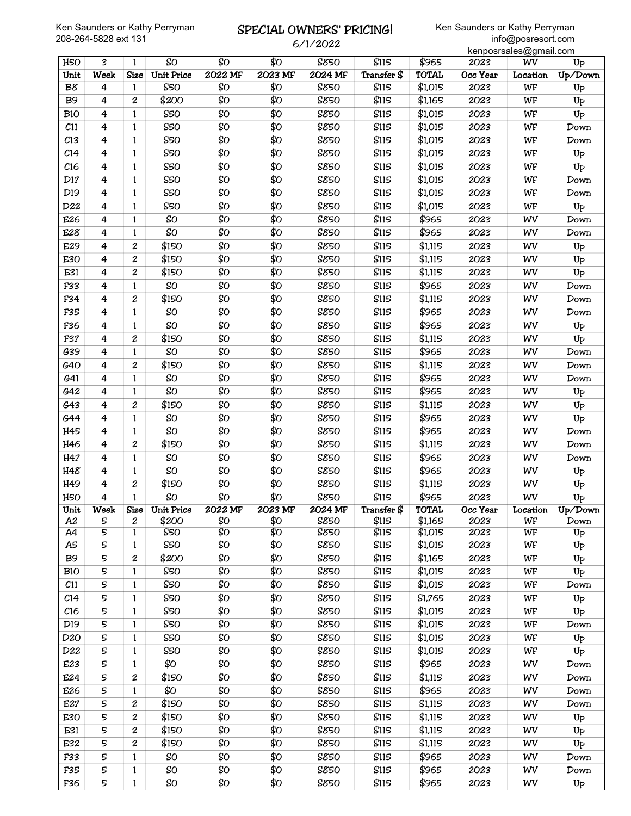## SPECIAL OWNERS' PRICING! 6/1/2022

|                 |             |                  |                   |         |         |         |             |                    |          | kenposrsales@gmail.com |                |
|-----------------|-------------|------------------|-------------------|---------|---------|---------|-------------|--------------------|----------|------------------------|----------------|
| H <sub>50</sub> | 3           | 1                | \$0               | \$Ο     | \$0     | \$850   | \$115       | $\overline{$}$ 965 | 2023     | WV                     | $U_{P}$        |
| Unit            | Week        | <b>Size</b>      | <b>Unit Price</b> | 2022 MF | 2023 MF | 2024 MF | Transfer \$ | <b>TOTAL</b>       | Occ Year | Location               | Up/Down        |
| B8              | 4           | $\mathbf{1}$     | \$50              | \$Ο     | \$Ο     | \$850   | \$115       | \$1,015            | 2023     | WF                     | U <sub>P</sub> |
| B <sub>9</sub>  | 4           | $\boldsymbol{2}$ | \$200             | \$0     | \$0     | \$850   | \$115       | \$1,165            | 2023     | WF                     | $U_{P}$        |
| <b>B10</b>      | 4           | $\mathbf{1}$     | \$50              | \$0     | \$Ο     | \$850   | \$115       | \$1,015            | 2023     | WF                     | Up             |
| C11             | 4           | $\mathbf{1}$     | \$50              | \$Ο     | \$Ο     | \$850   | \$115       | \$1,015            | 2023     | WF                     | Down           |
| $c_{13}$        | 4           | 1                | \$50              | \$Ο     | \$Ο     | \$850   | \$115       | \$1,015            | 2023     | WF                     | Down           |
| C <sub>14</sub> | 4           | 1                | \$50              | \$Ο     | \$0     | \$850   | \$115       | \$1,015            | 2023     | WF                     | $U_{P}$        |
| C16             | 4           | 1                | \$50              | \$Ο     | \$0     | \$850   | \$115       | \$1,015            | 2023     | WF                     | Up             |
| D17             | 4           | 1                | \$50              | \$0     | \$Ο     | \$850   | \$115       | \$1,015            | 2023     | WF                     | Down           |
| D <sub>19</sub> | 4           | 1                | \$50              | \$0     | \$Ο     | \$850   | \$115       | \$1,015            | 2023     | WF                     | Down           |
| D22             | 4           | 1                | \$50              | \$Ο     | \$Ο     | \$850   | \$115       | \$1,015            | 2023     | WF                     | Up             |
| E26             | 4           | 1                | \$0               | \$Ο     | \$Ο     | \$850   | \$115       | \$965              | 2023     | WV                     | Down           |
| E28             | 4           | 1                | \$Ο               | \$0     | \$Ο     | \$850   | \$115       | \$965              | 2023     | WV                     | Down           |
| E29             | 4           | 2                | \$150             | \$Ο     | \$0     | \$850   | \$115       | \$1,115            | 2023     | WV                     | $U_{P}$        |
| E30             | 4           | 2                | \$150             | \$Ο     | \$Ο     | \$850   | \$115       | \$1,115            | 2023     | WV                     | $U_{P}$        |
| E31             | 4           | 2                | \$150             | \$Ο     | \$Ο     | \$850   | \$115       | \$1,115            | 2023     | WV                     | Up             |
| F33             | 4           | 1                | \$0               | \$0     | \$Ο     | \$850   | \$115       | \$965              | 2023     | WV                     | Down           |
| F34             | 4           | $\boldsymbol{2}$ | \$150             | \$Ο     | \$Ο     | \$850   | \$115       | \$1,115            | 2023     | WV                     | Down           |
| F35             | 4           | $\mathbf{1}$     | \$0               | \$0     | \$0     | \$850   | \$115       | \$965              | 2023     | WV                     | Down           |
| F36             | 4           | 1                | \$Ο               | \$Ο     | \$Ο     | \$850   | \$115       | \$965              | 2023     | WV                     | $U_{P}$        |
| F37             | 4           | $\boldsymbol{2}$ | \$150             | \$Ο     | \$0     | \$850   | \$115       | \$1,115            | 2023     | WV                     | U <sub>P</sub> |
| G39             |             | 1                | \$Ο               | \$0     | \$Ο     | \$850   | \$115       | \$965              | 2023     | WV                     |                |
|                 | 4           |                  |                   | \$Ο     | \$Ο     | \$850   | \$115       |                    |          |                        | Down           |
| G40             | 4           | 2                | \$150             |         |         |         |             | \$1,115            | 2023     | WV                     | Down           |
| G41             | 4           | 1                | \$Ο               | \$0     | \$Ο     | \$850   | \$115       | \$965              | 2023     | WV                     | Down           |
| G42             | 4           | 1                | \$Ο               | \$0     | \$Ο     | \$850   | \$115       | \$965              | 2023     | WV                     | U <sub>P</sub> |
| G43             | 4           | $\boldsymbol{2}$ | \$150             | \$Ο     | \$0     | \$850   | \$115       | \$1,115            | 2023     | WV                     | U <sub>P</sub> |
| G44             | 4           | 1                | \$0               | \$0     | \$Ο     | \$850   | \$115       | \$965              | 2023     | WV                     | Up             |
| H45             | 4           | 1                | \$Ο               | \$Ο     | \$Ο     | \$850   | \$115       | \$965              | 2023     | WV                     | Down           |
| H46             | 4           | $\boldsymbol{2}$ | \$150             | \$0     | \$Ο     | \$850   | \$115       | \$1,115            | 2023     | WV                     | Down           |
| H47             | 4           | 1                | \$0               | \$Ο     | \$0     | \$850   | \$115       | \$965              | 2023     | WV                     | Down           |
| H48             | 4           | 1                | \$Ο               | \$0     | \$Ο     | \$850   | \$115       | \$965              | 2023     | WV                     | $U_{P}$        |
| H49             | 4           | 2                | \$150             | \$0     | \$Ο     | \$850   | \$115       | \$1,115            | 2023     | WV                     | U <sub>P</sub> |
| H <sub>50</sub> | 4           | $\mathbf{1}$     | \$Ο               | \$Ο     | \$0     | \$850   | \$115       | \$965              | 2023     | WV                     | $U_{P}$        |
| Unit            | <b>Week</b> |                  | Size Unit Price   | 2022 MF | 2023 MF | 2024 MF | Transfer \$ | <b>TOTAL</b>       | Occ Year | Location               | Up/Down        |
| A2              | 5           | $\boldsymbol{2}$ | \$200             | \$0     | \$Ο     | \$850   | \$115       | \$1,165            | 2023     | WF                     | Down           |
| A4              | 5           | $\mathbf{1}$     | \$50              | \$Ο     | \$Ο     | \$850   | \$115       | \$1,015            | 2023     | WF                     | $U_{P}$        |
| A5              | 5           | 1                | \$50              | \$Ο     | \$Ο     | \$850   | \$115       | \$1,015            | 2023     | WF                     | $U_{P}$        |
| <b>B</b> 9      | 5           | 2                | \$200             | \$Ο     | \$Ο     | \$850   | \$115       | \$1,165            | 2023     | WF                     | $U_{P}$        |
| <b>B10</b>      | 5           | $\mathbf{1}$     | \$50              | \$Ο     | \$Ο     | \$850   | \$115       | \$1,015            | 2023     | WF                     | $U_{P}$        |
| $c_{11}$        | 5           | $\mathbf{1}$     | \$50              | \$Ο     | \$Ο     | \$850   | \$115       | \$1,015            | 2023     | WF                     | Down           |
| C <sub>14</sub> | 5           | 1                | \$50              | \$Ο     | \$Ο     | \$850   | \$115       | \$1,765            | 2023     | WF                     | U <sub>P</sub> |
| C16             | 5           | 1                | \$50              | \$Ο     | \$Ο     | \$850   | \$115       | \$1,015            | 2023     | WF                     | Up             |
| D <sub>19</sub> | 5           | 1                | \$50              | \$Ο     | \$Ο     | \$850   | \$115       | \$1,015            | 2023     | WF                     | Down           |
| D <sub>20</sub> | 5           | $\mathbf{1}$     | \$50              | \$Ο     | \$Ο     | \$850   | \$115       | \$1,015            | 2023     | WF                     | $U_{P}$        |
| D22             | 5           | $\mathbf{1}$     | \$50              | \$Ο     | \$Ο     | \$850   | \$115       | \$1,015            | 2023     | WF                     | U <sub>P</sub> |
| E23             | 5           | $\mathbf{1}$     | \$0               | \$Ο     | \$Ο     | \$850   | \$115       | \$965              | 2023     | WV                     | Down           |
| E24             | 5           | 2                | \$150             | \$Ο     | \$Ο     | \$850   | \$115       | \$1,115            | 2023     | WV                     | Down           |
| E26             | 5           | $\mathbf{1}$     | \$Ο               | \$Ο     | \$Ο     | \$850   | \$115       | \$965              | 2023     | WV                     | Down           |
| E27             | 5           | $\boldsymbol{2}$ | \$150             | \$Ο     | \$Ο     | \$850   | \$115       | \$1,115            | 2023     | WV                     | Down           |
| E30             | 5           | 2                | \$150             | \$Ο     | \$Ο     | \$850   | \$115       | \$1,115            | 2023     | WV                     | $U_{P}$        |
| E31             | 5           | 2                | \$150             | \$Ο     | \$Ο     | \$850   | \$115       | \$1,115            | 2023     | WV                     | $U_{P}$        |
| E32             | 5           | $\boldsymbol{2}$ | \$150             | \$Ο     | \$Ο     | \$850   | \$115       | \$1,115            | 2023     | WV                     | $U_{P}$        |
| F33             | 5           | $\mathbf{1}$     | \$Ο               | \$Ο     | \$Ο     | \$850   | \$115       | \$965              | 2023     | WV                     | Down           |
| F35             | 5           | $\mathbf{1}$     | \$Ο               | \$Ο     | \$Ο     | \$850   | \$115       | \$965              | 2023     | WV                     | Down           |
| F36             | 5           | $\mathbf{1}$     | \$Ο               | \$Ο     | \$Ο     | \$850   | \$115       | \$965              | 2023     | WV                     | $U_{\text{P}}$ |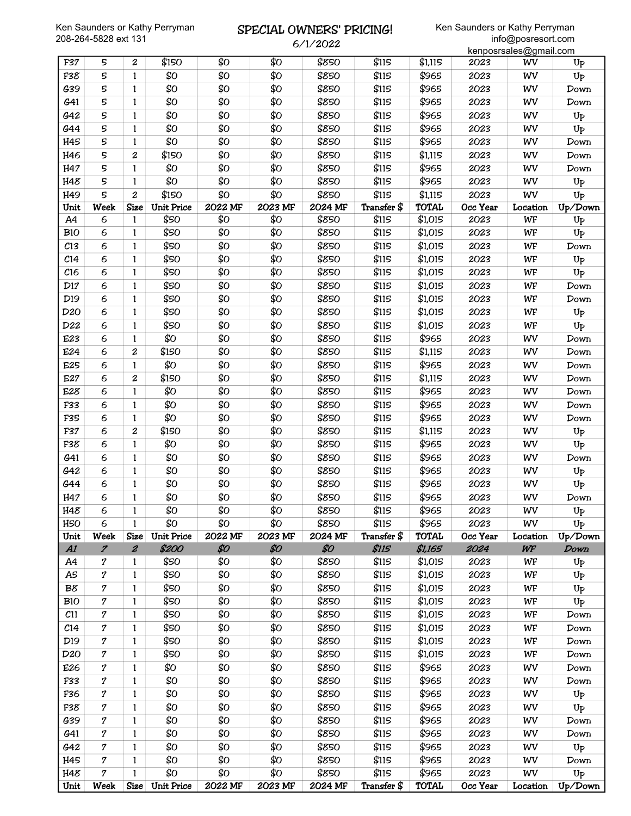### SPECIAL OWNERS' PRICING! 6/1/2022

| Unit            | <b>Week</b>      | <b>Size</b>      | Unit Price        | 2022 MF | 2023 MF | 2024 MF  | Transfer \$ | <b>TOTAL</b> | Occ Year | Location               | Up/Down        |
|-----------------|------------------|------------------|-------------------|---------|---------|----------|-------------|--------------|----------|------------------------|----------------|
| H48             | $\mathcal{I}$    | $\mathbf{1}$     | \$Ο               | \$Ο     | \$Ο     | \$850    | \$115       | \$965        | 2023     | WV                     | U <sub>P</sub> |
| H45             | 7                | $\mathbf{1}$     | \$Ο               | \$Ο     | \$Ο     | \$850    | \$115       | \$965        | 2023     | WV                     | Down           |
| G42             | 7                | 1                | \$Ο               | \$Ο     | \$Ο     | \$850    | \$115       | \$965        | 2023     | WV                     | $U_{P}$        |
| G41             | 7                | 1                | \$Ο               | \$Ο     | \$Ο     | \$850    | \$115       | \$965        | 2023     | WV                     | Down           |
| G39             | 7                | 1                | \$0               | \$Ο     | \$Ο     | \$850    | \$115       | \$965        | 2023     | WV                     | Down           |
| F38             | $\boldsymbol{7}$ | 1                | \$Ο               | \$Ο     | \$Ο     | \$850    | \$115       | \$965        | 2023     | WV                     | U <sub>P</sub> |
| F36             | 7                | $\mathbf{1}$     | \$Ο               | \$Ο     | \$Ο     | \$850    | \$115       | \$965        | 2023     | WV                     | $U_{P}$        |
| F33             | $\boldsymbol{7}$ | $\mathbf{1}$     | \$Ο               | \$Ο     | \$Ο     | \$850    | \$115       | \$965        | 2023     | WV                     | Down           |
| E26             | 7                | $\mathbf{1}$     | \$Ο               | \$Ο     | \$Ο     | \$850    | \$115       | \$965        | 2023     | WV                     | Down           |
| D <sub>20</sub> | 7                | 1                | \$50              | \$Ο     | \$Ο     | \$850    | \$115       | \$1,015      | 2023     | WF                     | Down           |
| D <sub>19</sub> | 7                | 1                | \$50              | \$Ο     | \$Ο     | \$850    | \$115       | \$1,015      | 2023     | WF                     | Down           |
| C <sub>14</sub> | $\boldsymbol{7}$ | 1                | \$50              | \$Ο     | \$Ο     | \$850    | \$115       | \$1,015      | 2023     | WF                     | Down           |
| C11             | $\boldsymbol{7}$ | 1                | \$50              | \$Ο     | \$Ο     | \$850    | \$115       | \$1,015      | 2023     | WF                     | Down           |
| <b>B10</b>      | 7                | $\mathbf{1}$     | \$50              | \$Ο     | \$Ο     | \$850    | \$115       | \$1,015      | 2023     | WF                     | $U_{P}$        |
| B8              | $\boldsymbol{7}$ | $\mathbf{1}$     | \$50              | \$Ο     | \$Ο     | \$850    | \$115       | \$1,015      | 2023     | WF                     | $U_{P}$        |
| A5              | 7                | $\mathbf{1}$     | \$50              | \$Ο     | \$Ο     | \$850    | \$115       | \$1,015      | 2023     | WF                     | Up             |
| A4              | $\boldsymbol{7}$ | 1                | \$50              | \$Ο     | \$Ο     | \$850    | \$115       | \$1,015      | 2023     | WF                     | $U_{P}$        |
| AI              | $\boldsymbol{z}$ | $\boldsymbol{z}$ | \$200             | \$0     | \$0     | \$0      | \$115       | \$1,165      | 2024     | WF                     | Down           |
| Unit            | Week             | <b>Size</b>      | <b>Unit Price</b> | 2022 MF | 2023 MF | 2024 MF  | Transfer \$ | <b>TOTAL</b> | Occ Year | Location               | Up/Down        |
| H <sub>50</sub> | 6                | $\mathbf{1}$     | \$Ο               | \$Ο     | \$Ο     | \$850    | \$115       | \$965        | 2023     | WV                     | $U_{P}$        |
| H48             | 6                | 1                | \$O               | \$Ο     | \$O     | \$850    | \$115       | \$965        | 2023     | wv                     | Up             |
| H47             | 6                | 1                | \$Ο               | \$Ο     | \$Ο     | \$850    | \$115       | \$965        | 2023     | WV                     | Down           |
| G44             | 6                | $\mathbf{1}$     | \$Ο               | \$Ο     | \$Ο     | \$850    | \$115       | \$965        | 2023     | WV                     | $U_{\bar{P}}$  |
| G42             | 6                | $\mathbf{1}$     | \$0               | \$Ο     | \$Ο     | \$850    | \$115       | \$965        | 2023     | WV                     | $U_{P}$        |
| G41             | 6                | $\mathbf{1}$     | \$0               | \$Ο     | \$Ο     | \$850    | \$115       | \$965        | 2023     | WV                     | Down           |
| F38             | 6                | 1                | \$Ο               | \$Ο     | \$Ο     | \$850    | \$115       | \$965        | 2023     | WV                     | Up             |
| F37             | 6                | 2                | \$150             | \$Ο     | \$Ο     | \$850    | \$115       | \$1,115      | 2023     | WV                     | $U_{P}$        |
| F35             | 6                | 1                | \$0               | \$Ο     | \$Ο     | \$850    | \$115       | \$965        | 2023     | WV                     | Down           |
| F33             | 6                | $\mathbf{1}$     | \$0               | \$Ο     | \$Ο     | \$850    | \$115       | \$965        | 2023     | WV                     | Down           |
| E28             | 6                | $\mathbf{1}$     | \$0               | \$Ο     | \$Ο     | \$850    | \$115       | \$965        | 2023     | WV                     | Down           |
| E27             | 6                | 2                | \$150             | \$Ο     | \$Ο     | \$850    | \$115       | \$1,115      | 2023     | WV                     | Down           |
| E25             | 6                | $\mathbf{1}$     | \$Ο               | \$Ο     | \$Ο     | \$850    | \$115       | \$965        | 2023     | WV                     | Down           |
| E24             | 6                | 2                | \$150             | \$Ο     | \$Ο     | \$850    | \$115       | \$1,115      | 2023     | WV                     | Down           |
| E23             | 6                | 1                | \$Ο               | \$Ο     | \$Ο     | \$850    | \$115       | \$965        | 2023     | WV                     | Down           |
| D22             | 6                | $\mathbf{1}$     | \$50              | \$Ο     | \$Ο     | \$850    | \$115       | \$1,015      | 2023     | WF                     | Up             |
| D <sub>20</sub> | 6                | $\mathbf{1}$     | \$50              | \$Ο     | \$Ο     | \$850    | \$115       | \$1,015      | 2023     | WF                     | $U_{P}$        |
| D <sub>19</sub> | 6                | $\mathbf{1}$     | \$50              | \$Ο     | \$Ο     | \$850    | \$115       | \$1,015      | 2023     | WF                     | Down           |
| D17             | 6                | $\mathbf{1}$     | \$50              | \$Ο     | \$Ο     | \$850    | \$115       | \$1,015      | 2023     | WF                     | Down           |
| C16             | 6                | $\mathbf{1}$     | \$50              | \$Ο     | \$Ο     | \$850    | \$115       | \$1,015      | 2023     | WF                     | Up             |
| C <sub>14</sub> | 6                | $\mathbf{1}$     | \$50              | \$Ο     | \$Ο     | \$850    | \$115       | \$1,015      | 2023     | WF                     | Up             |
| C13             | 6                | 1                | \$50              | \$Ο     | \$Ο     | \$850    | \$115       | \$1,015      | 2023     | WF                     | Down           |
| <b>B10</b>      | 6                | $\mathbf{1}$     | \$50              | \$Ο     | \$Ο     | \$850    | \$115       | \$1,015      | 2023     | WF                     | Up             |
| A4              | 6                | 1                | \$50              | \$Ο     | \$Ο     | \$850    | \$115       | \$1,015      | 2023     | WF                     | $U_{P}$        |
| Unit            | Week             | <b>Size</b>      | <b>Unit Price</b> | 2022 MF | 2023 MF | 2024 MF  | Transfer \$ | <b>TOTAL</b> | Occ Year | Location               | Up/Down        |
| H49             | 5                | 2                | \$150             | \$Ο     | \$Ο     | \$850    | \$115       | \$1,115      | 2023     | WV                     | $U_{P}$        |
| H48             | 5                | 1                | \$0               | \$Ο     | \$Ο     | \$850    | \$115       | \$965        | 2023     | WV                     | $U_{P}$        |
| H47             | 5                | $\mathbf{1}$     | \$Ο               | \$Ο     | \$Ο     | \$850    | \$115       | \$965        | 2023     | WV                     | Down           |
| H46             | 5                | $\overline{c}$   | \$150             | \$Ο     | \$Ο     | \$850    | \$115       | \$1,115      | 2023     | WV                     | Down           |
| H45             | 5                | $\mathbf{1}$     | \$Ο               | \$Ο     | \$Ο     | \$850    | \$115       | \$965        | 2023     | WV                     | Down           |
| G44             | 5                | 1                | \$Ο               | \$Ο     | \$Ο     | \$850    | \$115       | \$965        | 2023     | WV                     | $U_{\bar{P}}$  |
| G42             | 5                | 1                | \$Ο               | \$Ο     | \$Ο     | \$850    | \$115       | \$965        | 2023     | WV                     | $U_{\text{P}}$ |
| G41             | 5                | $\mathbf{1}$     | \$0               | \$Ο     | \$Ο     | \$850    | \$115       | \$965        | 2023     | WV                     | Down           |
| G39             | 5                | $\mathbf{1}$     | \$Ο               | \$Ο     | \$Ο     | \$850    | \$115       | \$965        | 2023     | WV                     | Down           |
| F38             | 5                | $\mathbf{1}$     | \$Ο               | \$Ο     | \$Ο     | \$850    | \$115       | \$965        | 2023     | WV                     | Up             |
| F37             | 5                | $\boldsymbol{2}$ | \$150             | \$Ο     | \$Ο     | \$850    | \$115       | \$1,115      | 2023     | WV                     | U <sub>P</sub> |
|                 |                  |                  |                   |         |         | 0/1/2022 |             |              |          | kenposrsales@gmail.com |                |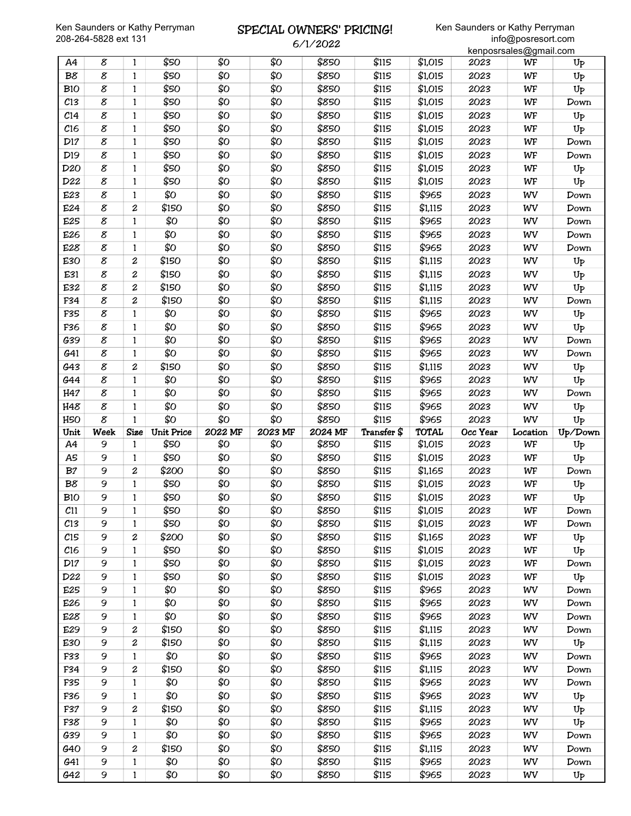## SPECIAL OWNERS' PRICING! 6/1/2022

|                 |      |                  |                   |         |                 |         |             |              |          | kenposrsales@gmail.com |                |
|-----------------|------|------------------|-------------------|---------|-----------------|---------|-------------|--------------|----------|------------------------|----------------|
| A4              | 8    | 1                | \$50              | \$0     | \$Ο             | \$850   | \$115       | \$1,015      | 2023     | WF                     | U <sub>P</sub> |
| B8              | 8    | $\mathbf{1}$     | \$50              | \$Ο     | \$0             | \$850   | \$115       | \$1,015      | 2023     | WF                     | Up             |
| <b>B10</b>      | 8    | $\mathbf{1}$     | \$50              | \$Ο     | \$Ο             | \$850   | \$115       | \$1,015      | 2023     | WF                     | Up             |
| C13             | 8    | $\mathbf{1}$     | \$50              | \$Ο     | \$0             | \$850   | \$115       | \$1,015      | 2023     | WF                     | Down           |
| C <sub>14</sub> | 8    | 1                | \$50              | \$Ο     | \$Ο             | \$850   | \$115       | \$1,015      | 2023     | WF                     | $U_{P}$        |
| C16             | 8    | $\mathbf{1}$     | \$50              | \$Ο     | \$0             | \$850   | \$115       | \$1,015      | 2023     | WF                     | Up             |
| D17             | 8    | 1                | \$50              | \$Ο     | \$0             | \$850   | \$115       | \$1,015      | 2023     | WF                     | Down           |
| D19             | 8    | 1                | \$50              | \$0     | \$Ο             | \$850   | \$115       | \$1,015      | 2023     | WF                     | Down           |
| D <sub>20</sub> | 8    | $\mathbf{1}$     | \$50              | \$0     | \$0             | \$850   | \$115       | \$1,015      | 2023     | WF                     | $U_{P}$        |
| D22             | 8    | $\mathbf{1}$     | \$50              | \$Ο     | \$Ο             | \$850   | \$115       | \$1,015      | 2023     | WF                     | Up             |
| E23             | 8    | 1                | \$Ο               | \$Ο     | \$0             | \$850   | \$115       | \$965        | 2023     | WV                     | Down           |
| E24             | 8    | 2                | \$150             | \$Ο     | \$Ο             | \$850   | \$115       | \$1,115      | 2023     | WV                     | Down           |
| E25             | 8    | 1                | \$Ο               | \$Ο     | \$0             | \$850   | \$115       | \$965        | 2023     | WV                     | Down           |
| E26             | 8    | 1                | \$Ο               | \$Ο     | \$Ο             | \$850   | \$115       | \$965        | 2023     | WV                     | Down           |
| E28             | 8    | 1                | \$Ο               | \$0     | \$Ο             | \$850   | \$115       | \$965        | 2023     | WV                     | Down           |
| E30             | 8    | 2                | \$150             | \$Ο     | \$0             | \$850   | \$115       | \$1,115      | 2023     | WV                     | U <sub>P</sub> |
| E31             | 8    | $\boldsymbol{2}$ | \$150             | \$Ο     | \$Ο             | \$850   | \$115       | \$1,115      | 2023     | WV                     |                |
|                 | 8    | 2                | \$150             | \$Ο     | \$Ο             | \$850   | \$115       | \$1,115      | 2023     | WV                     | $U_{P}$        |
| E32             | 8    |                  |                   | \$Ο     |                 |         |             |              |          |                        | Up             |
| F34             |      | 2                | \$150             |         | \$Ο             | \$850   | \$115       | \$1,115      | 2023     | WV                     | Down           |
| F35             | 8    | 1                | \$Ο               | \$Ο     | \$0             | \$850   | \$115       | \$965        | 2023     | WV                     | U <sub>P</sub> |
| F36             | 8    | 1                | \$Ο               | \$Ο     | \$Ο             | \$850   | \$115       | \$965        | 2023     | WV                     | Up             |
| G39             | 8    | 1                | \$Ο               | \$Ο     | \$0             | \$850   | \$115       | \$965        | 2023     | WV                     | Down           |
| G41             | 8    | $\mathbf{1}$     | \$Ο               | \$0     | \$0             | \$850   | \$115       | \$965        | 2023     | WV                     | Down           |
| G43             | 8    | $\boldsymbol{2}$ | \$150             | \$Ο     | \$Ο             | \$850   | \$115       | \$1,115      | 2023     | WV                     | $U_{P}$        |
| G44             | 8    | 1                | \$Ο               | \$Ο     | \$0             | \$850   | \$115       | \$965        | 2023     | WV                     | Up             |
| H47             | 8    | 1                | \$Ο               | \$Ο     | \$0             | \$850   | \$115       | \$965        | 2023     | WV                     | Down           |
| H48             | 8    | 1                | \$Ο               | \$Ο     | \$Ο             | \$850   | \$115       | \$965        | 2023     | WV                     | U <sub>P</sub> |
|                 |      |                  |                   |         |                 |         |             |              |          |                        |                |
| H <sub>50</sub> | 8    | 1                | \$0               | \$Ο     | \$Ο             | \$850   | \$115       | \$965        | 2023     | WV                     | Up             |
| Unit            | Week | <b>Size</b>      | <b>Unit Price</b> | 2022 MF | 2023 MF         | 2024 MF | Transfer \$ | <b>TOTAL</b> | Occ Year | Location               | Up/Down        |
| A4              | 9    | 1                | \$50              | \$Ο     | \$Ο             | \$850   | \$115       | \$1,015      | 2023     | WF                     | Up             |
| A5              | 9    | 1                | \$50              | \$Ο     | \$0             | \$850   | \$115       | \$1,015      | 2023     | WF                     | Up             |
| B <sub>7</sub>  | 9    | 2                | \$200             | \$Ο     | \$Ο             | \$850   | \$115       | \$1,165      | 2023     | WF                     | Down           |
| B8              | 9    | $\mathbf{1}$     | \$50              | \$0     | \$Ο             | \$850   | \$115       | \$1,015      | 2023     | WF                     | U <sub>P</sub> |
| <b>B10</b>      | 9    | 1                | \$50              | \$Ο     | \$Ο             | \$850   | \$115       | \$1,015      | 2023     | WF                     | Up             |
| C11             | 9    | $\mathbf{1}$     | \$50              | \$Ο     | $\overline{SO}$ | \$850   | \$115       | \$1,015      | 2023     | WF                     | Down           |
| C13             | 9    | $\mathbf{1}$     | \$50              | \$Ο     | \$Ο             | \$850   | \$115       | \$1,015      | 2023     | WF                     | Down           |
| C15             | 9    | 2                | \$200             | \$Ο     | \$Ο             | \$850   | \$115       | \$1,165      | 2023     | WF                     | $U_{\text{P}}$ |
| $c_{16}$        | 9    | 1                | \$50              | \$Ο     | \$Ο             | \$850   | \$115       | \$1,015      | 2023     | WF                     | U <sub>P</sub> |
| D17             | 9    | $\mathbf{1}$     | \$50              | \$Ο     | \$Ο             | \$850   | \$115       | \$1,015      | 2023     | WF                     | Down           |
| D22             | 9    | $\mathbf{1}$     | \$50              | \$Ο     | \$Ο             | \$850   | \$115       | \$1,015      | 2023     | WF                     | $U_{P}$        |
| E25             | 9    | $\mathbf{1}$     | \$Ο               | \$Ο     | \$Ο             | \$850   | \$115       | \$965        | 2023     | WV                     | Down           |
| E26             | 9    | 1                | \$Ο               | \$Ο     | \$Ο             | \$850   | \$115       | \$965        | 2023     | WV                     | Down           |
| E28             | 9    | $\mathbf{1}$     | \$Ο               | \$Ο     | \$Ο             | \$850   | \$115       | \$965        | 2023     | WV                     | Down           |
| E29             | 9    | $\boldsymbol{2}$ | \$150             | \$Ο     | \$Ο             | \$850   | \$115       | \$1,115      | 2023     | WV                     | Down           |
| E30             | 9    | 2                | \$150             | \$Ο     | \$Ο             | \$850   | \$115       | \$1,115      | 2023     | WV                     | $U_{P}$        |
| F33             | 9    | 1                | \$Ο               | \$Ο     | \$Ο             | \$850   | \$115       | \$965        | 2023     | WV                     | Down           |
| F34             | 9    | $\boldsymbol{2}$ | \$150             | \$Ο     | \$Ο             | \$850   | \$115       | \$1,115      | 2023     | WV                     | Down           |
| F35             | 9    | $\mathbf{1}$     | \$Ο               | \$Ο     | \$Ο             | \$850   | \$115       | \$965        | 2023     | WV                     | Down           |
| F36             | 9    | $\mathbf{1}$     | \$Ο               | \$О     | \$Ο             | \$850   | \$115       | \$965        | 2023     | WV                     | $U_{P}$        |
| F37             | 9    | 2                | \$150             | \$Ο     | \$Ο             | \$850   | \$115       | \$1,115      | 2023     | WV                     | U <sub>P</sub> |
| F38             | 9    | 1                | \$Ο               | \$Ο     | \$Ο             | \$850   | \$115       | \$965        | 2023     | WV                     | U <sub>P</sub> |
| G39             | 9    | 1                | \$0               | \$О     | \$Ο             | \$850   | \$115       | \$965        | 2023     | WV                     | Down           |
| G40             | 9    | 2                | \$150             | \$Ο     | \$Ο             | \$850   | \$115       | \$1,115      | 2023     | WV                     | Down           |
| G41             | 9    | $\mathbf{1}$     | \$Ο               | \$Ο     | \$Ο             | \$850   | \$115       | \$965        | 2023     | WV                     | Down           |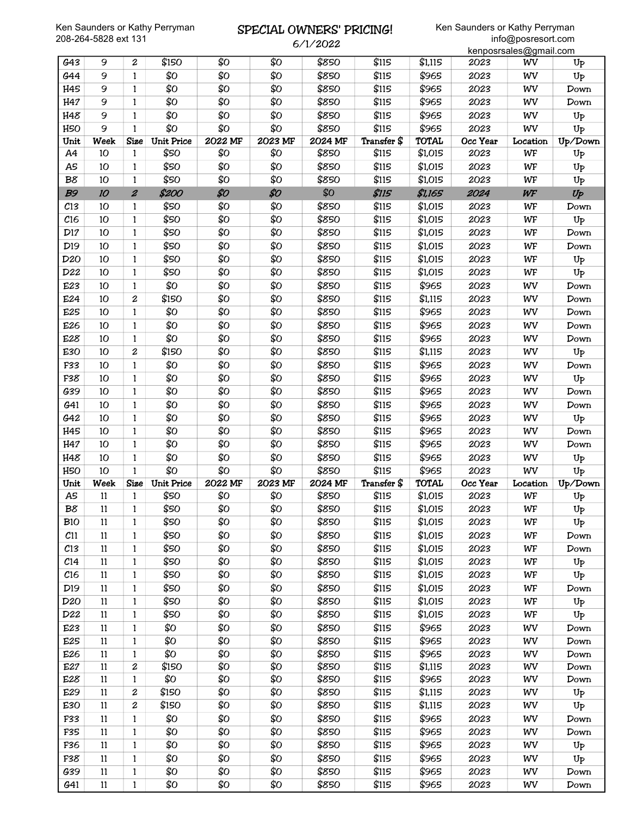### SPECIAL OWNERS' PRICING! 6/1/2022

|                 |        |                  |                   |         |         |         |             |              |          | kenposrsales@gmail.com |                |
|-----------------|--------|------------------|-------------------|---------|---------|---------|-------------|--------------|----------|------------------------|----------------|
| G43             | 9      | $\boldsymbol{2}$ | \$150             | \$Ο     | \$0     | \$850   | \$115       | \$1,115      | 2023     | WV                     | U <sub>P</sub> |
| G44             | 9      | $\mathbf{1}$     | \$О               | \$Ο     | \$Ο     | \$850   | \$115       | \$965        | 2023     | WV                     | Up             |
| H45             | 9      | $\mathbf{1}$     | \$Ο               | \$Ο     | \$Ο     | \$850   | \$115       | \$965        | 2023     | WV                     | Down           |
| H47             | 9      | 1                | \$Ο               | \$Ο     | \$Ο     | \$850   | \$115       | \$965        | 2023     | WV                     | Down           |
| H48             | 9      | 1                | \$Ο               | \$0     | \$Ο     | \$850   | \$115       | \$965        | 2023     | WV                     | $U_{P}$        |
| H <sub>50</sub> | 9      | $\mathbf{1}$     | \$Ο               | \$Ο     | \$Ο     | \$850   | \$115       | \$965        | 2023     | WV                     | Up             |
| Unit            | Week   | Size             | <b>Unit Price</b> | 2022 MF | 2023 MF | 2024 MF | Transfer \$ | <b>TOTAL</b> | Occ Year | Location               | Up/Down        |
| A4              | 10     | 1                | \$50              | \$0     | \$0     | \$850   | \$115       | \$1,015      | 2023     | WF                     | $U_{P}$        |
| A5              | 10     | 1                | \$50              | \$0     | \$Ο     | \$850   | \$115       | \$1,015      | 2023     | WF                     | Up             |
| B8              | 10     | 1                | \$50              | \$0     | \$Ο     | \$850   | \$115       | \$1,015      | 2023     | WF                     | $U_{P}$        |
| <b>B9</b>       | 10     | $\boldsymbol{z}$ | \$200             | \$0     | \$0     | \$0     | \$115       | \$1,165      | 2024     | WF                     | $U_P$          |
| C13             | 10     | 1                | \$50              | \$Ο     | \$Ο     | \$850   | \$115       | \$1,015      | 2023     | WF                     | Down           |
| C16             | 10     | 1                | \$50              | \$0     | \$Ο     | \$850   | \$115       | \$1,015      | 2023     | WF                     | Up             |
| D17             | 10     | 1                | \$50              | \$Ο     | \$Ο     | \$850   | \$115       | \$1,015      | 2023     | WF                     | Down           |
| D <sub>19</sub> | 10     | 1                | \$50              | \$Ο     | \$Ο     | \$850   | \$115       | \$1,015      | 2023     | WF                     | Down           |
| D <sub>20</sub> | 10     | 1                | \$50              | \$Ο     | \$Ο     | \$850   | \$115       | \$1,015      | 2023     | WF                     | $U_{P}$        |
| D22             | 10     | 1                | \$50              | \$0     | \$Ο     | \$850   | \$115       | \$1,015      | 2023     | WF                     | $U_{P}$        |
| E23             | 10     | 1                | \$Ο               | \$0     | \$Ο     | \$850   | \$115       | \$965        | 2023     | WV                     | Down           |
| E24             | 10     | $\boldsymbol{2}$ | \$150             | \$Ο     | \$Ο     | \$850   | \$115       | \$1,115      | 2023     | WV                     | Down           |
| E25             | 10     | 1                | \$Ο               | \$Ο     | \$Ο     | \$850   | \$115       | \$965        | 2023     | WV                     | Down           |
| E26             | 10     | 1                | \$Ο               | \$Ο     | \$Ο     | \$850   | \$115       | \$965        | 2023     | WV                     | Down           |
| E28             | 10     | 1                | \$Ο               | \$Ο     | \$Ο     | \$850   | \$115       | \$965        | 2023     | WV                     | Down           |
| E30             | 10     | $\overline{c}$   | \$150             | \$Ο     | \$Ο     | \$850   | \$115       | \$1,115      | 2023     | WV                     | Up             |
| F33             | 10     | 1                | \$Ο               | \$0     | \$Ο     | \$850   | \$115       | \$965        | 2023     | WV                     | Down           |
| F38             | 10     | 1                | \$Ο               | \$0     | \$О     | \$850   | \$115       | \$965        | 2023     | WV                     | Up             |
| G39             | 10     | $\mathbf{1}$     | \$Ο               | \$0     | \$Ο     | \$850   | \$115       | \$965        | 2023     | WV                     | Down           |
| G41             | 10     | 1                | \$Ο               | \$0     | \$Ο     | \$850   | \$115       | \$965        | 2023     | WV                     | Down           |
| G42             | 10     | 1                | \$Ο               | \$Ο     | \$Ο     | \$850   | \$115       | \$965        | 2023     | WV                     | $U_{P}$        |
| H45             | 10     | 1                | \$Ο               | \$0     | \$Ο     | \$850   | \$115       | \$965        | 2023     | WV                     | Down           |
| H47             | 10     | 1                | \$Ο               | \$Ο     | \$Ο     | \$850   | \$115       | \$965        | 2023     | WV                     | Down           |
| H48             | 10     | 1                | \$Ο               | \$0     | \$Ο     | \$850   | \$115       | \$965        | 2023     | WV                     | $U_{P}$        |
| H <sub>50</sub> | 10     | $\mathbf{1}$     | \$Ο               | \$Ο     | \$Ο     | \$850   | \$115       | \$965        | 2023     | WV                     | Up             |
| Unit            | Week   | <b>Size</b>      | <b>Unit Price</b> | 2022 MF | 2023 MF | 2024 MF | Transfer \$ | <b>TOTAL</b> | Occ Year | Location               | Up/Down        |
| A5              | $11\,$ | 1                | \$50              | \$Ο     | \$Ο     | \$850   | \$115       | \$1,015      | 2023     | WF                     | Up             |
| $B\delta$       | $11\,$ | $\mathbf{1}$     | \$50              | \$Ο     | \$Ο     | \$850   | \$115       | \$1,015      | 2023     | WF                     | Up             |
| <b>B10</b>      | 11     | 1                | \$50              | \$Ο     | \$О     | \$850   | \$115       | \$1,015      | 2023     | WF                     | $U_{P}$        |
| C11             | 11     | $\mathbf{1}$     | \$50              | \$Ο     | \$Ο     | \$850   | \$115       | \$1,015      | 2023     | WF                     | Down           |
| $c_{13}$        | 11     | $\mathbf{1}$     | \$50              | \$Ο     | \$Ο     | \$850   | \$115       | \$1,015      | 2023     | WF                     | Down           |
| C <sub>14</sub> | 11     | 1                | \$50              | \$Ο     | \$Ο     | \$850   | \$115       | \$1,015      | 2023     | WF                     | $U_{P}$        |
| C16             | 11     | 1                | \$50              | \$Ο     | \$Ο     | \$850   | \$115       | \$1,015      | 2023     | WF                     | $U_{P}$        |
| D19             | 11     | 1                | \$50              | \$Ο     | \$О     | \$850   | \$115       | \$1,015      | 2023     | WF                     | Down           |
| D <sub>20</sub> | 11     | $\mathbf{1}$     | \$50              | \$Ο     | \$Ο     | \$850   | \$115       | \$1,015      | 2023     | WF                     | $U_{P}$        |
| D22             | 11     | $\mathbf{1}$     | \$50              | \$Ο     | \$Ο     | \$850   | \$115       | \$1,015      | 2023     | WF                     | $U_{P}$        |
| E23             | 11     | $\mathbf{1}$     | \$Ο               | \$Ο     | \$Ο     | \$850   | \$115       | \$965        | 2023     | WV                     | Down           |
| E25             | 11     | $\mathbf{1}$     | \$Ο               | \$Ο     | \$Ο     | \$850   | \$115       | \$965        | 2023     | WV                     | Down           |
| E26             | 11     | 1                | \$Ο               | \$Ο     | \$Ο     | \$850   | \$115       | \$965        | 2023     | WV                     | Down           |
| E27             | 11     | $\boldsymbol{2}$ | \$150             | \$0     | \$0     | \$850   | \$115       | \$1,115      | 2023     | WV                     | Down           |
| E28             | 11     | 1                | \$Ο               | \$Ο     | \$О     | \$850   | \$115       | \$965        | 2023     | WV                     | Down           |
| E29             | 11     | 2                | \$150             | \$Ο     | \$Ο     | \$850   | \$115       | \$1,115      | 2023     | WV                     | $U_{P}$        |
| E30             | 11     | 2                | \$150             | \$Ο     | \$О     | \$850   | \$115       | \$1,115      | 2023     | WV                     | $U_{P}$        |
| F33             | 11     | $\mathbf{1}$     | \$Ο               | \$Ο     | \$Ο     | \$850   | \$115       | \$965        | 2023     | WV                     | Down           |
| F35             | 11     | $\mathbf{1}$     | \$Ο               | \$Ο     | \$Ο     | \$850   | \$115       | \$965        | 2023     | WV                     | Down           |
| F36             | 11     | 1                | \$Ο               | \$Ο     | \$Ο     | \$850   | \$115       | \$965        | 2023     | WV                     | $U_{P}$        |
| F38             | 11     | $\mathbf{1}$     | \$Ο               | \$Ο     | \$Ο     | \$850   | \$115       | \$965        | 2023     | WV                     | $U_{P}$        |
| G39             | 11     | 1                | \$Ο               | \$Ο     | \$Ο     | \$850   | \$115       | \$965        | 2023     | WV                     | Down           |
| G41             | 11     | $\mathbf{1}$     | \$Ο               | \$О     | \$Ο     | \$850   | \$115       | \$965        | 2023     | WV                     | Down           |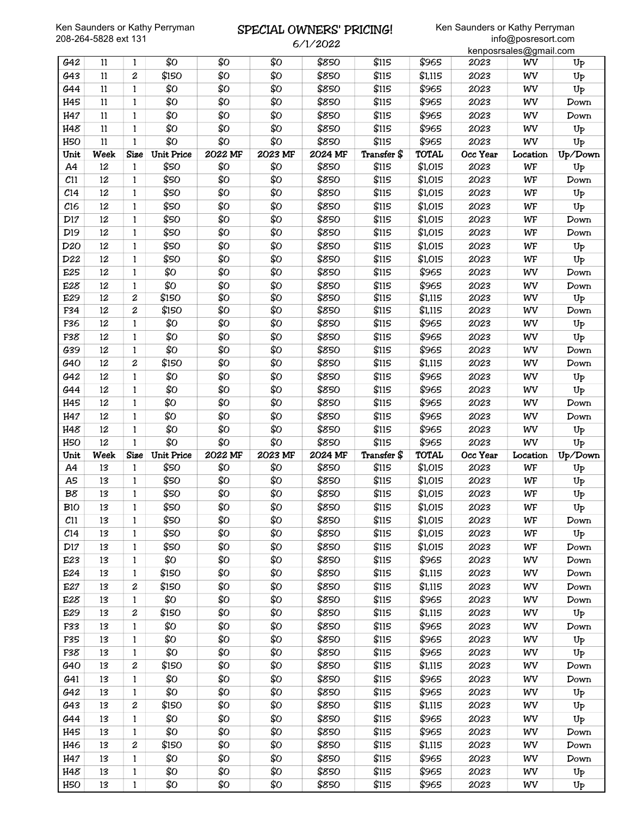### SPECIAL OWNERS' PRICING! 6/1/2022

|                 |          |                   |                   |            |            |                |                |                |              | kenposrsales@gmail.com |                    |
|-----------------|----------|-------------------|-------------------|------------|------------|----------------|----------------|----------------|--------------|------------------------|--------------------|
| G42             | 11       | 1                 | \$Ο               | \$Ο        | \$Ο        | \$850          | \$115          | \$965          | 2023         | WV                     | U <sub>P</sub>     |
| G43             | 11       | $\boldsymbol{2}$  | \$150             | \$Ο        | \$Ο        | \$850          | \$115          | \$1,115        | 2023         | WV                     | $U_{P}$            |
| G44             | 11       | $\mathbf{1}$      | \$Ο               | \$Ο        | \$Ο        | \$850          | \$115          | \$965          | 2023         | WV                     | Up                 |
| H45             | 11       | 1                 | \$Ο               | \$Ο        | \$Ο        | \$850          | \$115          | \$965          | 2023         | WV                     | Down               |
| H47             | 11       | 1                 | \$Ο               | \$Ο        | \$Ο        | \$850          | \$115          | \$965          | 2023         | WV                     | Down               |
| H48             | 11       | 1                 | \$Ο               | \$Ο        | \$Ο        | \$850          | \$115          | \$965          | 2023         | WV                     | $U_{\text{P}}$     |
| H <sub>50</sub> | 11       | $\mathbf{1}$      | \$Ο               | \$Ο        | \$Ο        | \$850          | \$115          | \$965          | 2023         | WV                     | Up                 |
| Unit            | Week     | <b>Size</b>       | <b>Unit Price</b> | 2022 MF    | 2023 MF    | 2024 MF        | Transfer \$    | <b>TOTAL</b>   | Occ Year     | Location               | Up/Down            |
| A4              | 12       | $\mathbf{1}$      | \$50              | \$Ο        | \$0        | \$850          | \$115          | \$1,015        | 2023         | WF                     | Up                 |
| C11             | 12       | 1                 | \$50              | \$Ο        | \$Ο        | \$850          | \$115          | \$1,015        | 2023         | WF                     | Down               |
| C <sub>14</sub> | 12       | 1                 | \$50              | \$Ο        | \$Ο        | \$850          | \$115          | \$1,015        | 2023         | WF                     | $U_{P}$            |
| C16             | 12       | 1                 | \$50              | \$Ο        | \$Ο        | \$850          | \$115          | \$1,015        | 2023         | WF                     | Up                 |
| D17             | 12       | 1                 | \$50              | \$Ο        | \$Ο        | \$850          | \$115          | \$1,015        | 2023         | WF                     | Down               |
| D <sub>19</sub> | 12       | $\mathbf{1}$      | \$50              | \$Ο        | \$Ο        | \$850          | \$115          | \$1,015        | 2023         | WF                     | Down               |
| D <sub>20</sub> | 12       | 1                 | \$50              | \$Ο        | \$Ο        | \$850          | \$115          | \$1,015        | 2023         | WF                     | $U_{P}$            |
| D22             | 12       | 1                 | \$50              | \$Ο        | \$Ο        | \$850          | \$115          | \$1,015        | 2023         | WF                     | Up                 |
| E25             | 12       | $\mathbf{1}$      | \$0               | \$Ο        | \$Ο        | \$850          | \$115          | \$965          | 2023         | WV                     | Down               |
| E28             | 12       | $\mathbf{1}$      | \$0               | \$Ο        | \$Ο        | \$850          | \$115          | \$965          | 2023         | WV                     | Down               |
| E29             | 12       | 2                 | \$150             | \$0        | \$0        | \$850          | \$115          | \$1,115        | 2023         | WV                     | U <sub>P</sub>     |
| F34             | 12       | $\overline{c}$    | \$150             | \$Ο        | \$Ο        | \$850          | \$115          | \$1,115        | 2023         | WV                     | Down               |
| F36             | 12       | $\mathbf{1}$      | \$Ο               | \$Ο        | \$Ο        | \$850          | \$115          | \$965          | 2023         | WV                     | $U_{P}$            |
| F38             | 12       | 1                 | \$Ο               | \$Ο        | \$Ο        | \$850          | \$115          | \$965          | 2023         | WV                     | $U_{P}$            |
| G39             | 12       | 1                 | \$Ο               | \$Ο        | \$Ο        | \$850          | \$115          | \$965          | 2023         | WV                     | Down               |
| G40             | 12       | 2                 | \$150             | \$Ο        | \$Ο        | \$850          | \$115          | \$1,115        | 2023         | WV                     | Down               |
| G42             | 12       | 1                 | \$О               | \$Ο        | \$Ο        | \$850          | \$115          | \$965          | 2023         | WV                     | $U_{P}$            |
| G44             | 12       | 1                 | \$О               | \$Ο        | \$Ο        | \$850          | \$115          | \$965          | 2023         | WV                     | Up                 |
| H45             | 12       | $\mathbf{1}$      | \$Ο               | \$Ο        | \$Ο        | \$850          | \$115          | \$965          | 2023         | WV                     | Down               |
| H47             | 12       | $\mathbf{1}$      | \$Ο               | \$Ο        | \$Ο        | \$850          | \$115          | \$965          | 2023         | WV                     | Down               |
|                 |          |                   |                   |            |            |                |                |                |              |                        |                    |
| H48             | 12       | 1                 | \$Ο               | \$Ο        | \$0        | \$850          | \$115          | \$965          | 2023         | WV                     | U <sub>P</sub>     |
| H <sub>50</sub> | 12       | 1                 | \$Ο               | \$Ο        | \$Ο        | \$850          | \$115          | \$965          | 2023         | WV                     | U <sub>P</sub>     |
| Unit            | Week     | <b>Size</b>       | <b>Unit Price</b> | 2022 MF    | 2023 MF    | 2024 MF        | Transfer \$    | <b>TOTAL</b>   | Occ Year     | Location               | Up/Down            |
| A4              | 13       | 1                 | \$50              | \$Ο        | \$Ο        | \$850          | \$115          | \$1,015        | 2023         | WF                     | Up                 |
| A5              | 13       | 1                 | \$50              | \$Ο        | \$Ο        | \$850          | \$115          | \$1,015        | 2023         | WF                     | $U_{P}$            |
| B8              | 13       | 1                 | \$50              | \$Ο        | \$Ο        | \$850          | \$115          | \$1,015        | 2023         | WF                     | Up                 |
| <b>B10</b>      | 13       | $\mathbf{1}$      | \$50              | \$Ο        | \$Ο        | \$850          | \$115          | \$1,015        | 2023         | WF                     | $U_{\bar{P}}$      |
| C <sub>11</sub> | 13       | 1                 | \$50              | \$Ο        | \$Ο        | \$850          | \$115          | \$1,015        | 2023         | WF                     | Down               |
| C <sub>14</sub> | 13       | $\mathbf{1}$      | \$50              | \$Ο        | \$Ο        | \$850          | \$115          | \$1,015        | 2023         | WF                     | $U_{P}$            |
| D17             | 13       | 1                 | \$50              | \$Ο        | \$0        | \$850          | \$115          | \$1,015        | 2023         | WF                     | Down               |
| E23             | 13       | $\mathbf{1}$      | \$Ο               | \$Ο        | \$Ο        | \$850          | \$115          | \$965          | 2023         | WV                     | Down               |
| E24             | 13       | 1                 | \$150             | \$Ο        | \$Ο        | \$850          | \$115          | \$1,115        | 2023         | WV                     | Down               |
| E27             | 13       | $\boldsymbol{2}$  | \$150             | \$Ο        | \$Ο        | \$850          | \$115          | \$1,115        | 2023         | WV                     | Down               |
| E28             | 13       | $\mathbf{1}$      | \$Ο               | \$Ο        | \$Ο        | \$850          | \$115          | \$965          | 2023         | WV                     | Down               |
| E29             | 13       | $\boldsymbol{2}$  | \$150             | \$Ο        | \$Ο        | \$850          | \$115          | \$1,115        | 2023         | WV                     | $U_{P}$            |
| F33             | 13       | $\mathbf{1}$      | \$Ο               | \$Ο        | \$0        | \$850          | \$115          | \$965          | 2023         | WV                     | Down               |
| F35             | 13       | $\mathbf{1}$      | \$Ο               | \$Ο        | \$Ο        | \$850          | \$115          | \$965          | 2023         | WV                     | $U_{P}$            |
| F38             | 13       | $\mathbf{1}$      | \$Ο               | \$Ο        | \$Ο        | \$850          | \$115          | \$965          | 2023         | WV                     | $U_{P}$            |
| G40             | 13       | $\boldsymbol{2}$  | \$150             | \$Ο        | \$Ο        | \$850          | \$115          | \$1,115        | 2023         | WV                     | Down               |
| G41             | 13       | 1                 | \$Ο               | \$Ο        | \$Ο        | \$850          | \$115          | \$965          | 2023         | WV                     | Down               |
| G42             | 13       | 1                 | \$Ο               | \$Ο        | \$О        | \$850          | \$115          | \$965          | 2023         | WV                     | $U_{P}$            |
| G43             | 13       | $\boldsymbol{2}$  | \$150             | \$Ο        | \$Ο        | \$850          | \$115          | \$1,115        | 2023         | WV                     | $U_{P}$            |
| G44             | 13       | $\mathbf{1}$      | \$Ο               | \$Ο        | \$Ο        | \$850          | \$115          | \$965          | 2023         | WV                     | $U_{P}$            |
| H45             | 13       | $\mathbf{1}$      | \$Ο               | \$Ο        | \$Ο        | \$850          | \$115          | \$965          | 2023         | WV                     | Down               |
| H46             | 13       | $\boldsymbol{2}$  | \$150             | \$Ο        | \$Ο        | \$850          | \$115          | \$1,115        | 2023         | WV                     | Down               |
| H47             | 13       | $\mathbf{1}$      | \$Ο               | \$Ο        | \$0        | \$850          | \$115          | \$965          | 2023         | WV                     | Down               |
| H48<br>H5O      | 13<br>13 | 1<br>$\mathbf{1}$ | \$О<br>\$О        | \$Ο<br>\$Ο | \$Ο<br>\$Ο | \$850<br>\$850 | \$115<br>\$115 | \$965<br>\$965 | 2023<br>2023 | WV<br>WV               | $U_{P}$<br>$U_{P}$ |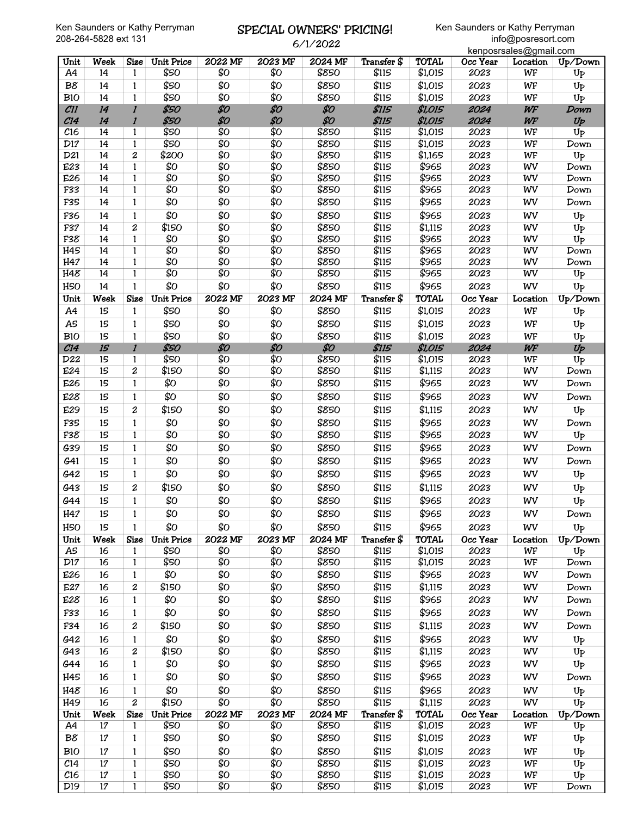# SPECIAL OWNERS' PRICING!

|                 | 208-204-5828 ext 131 |                     |                            |                |                | 6/1/2022         |                |                         |                  | info@posresort.com<br>kenposrsales@gmail.com |                    |
|-----------------|----------------------|---------------------|----------------------------|----------------|----------------|------------------|----------------|-------------------------|------------------|----------------------------------------------|--------------------|
| Unit            | <b>Week</b>          | <b>Size</b>         | <b>Unit Price</b>          | 2022 MF        | 2023 MF        | 2024 MF          | Transfer \$    | <b>TOTAL</b>            | Occ Year         | Location                                     | Up/Down            |
| A4              | 14                   | 1                   | \$50                       | \$0            | \$0            | \$850            | \$115          | \$1,015                 | 2023             | WF                                           | $U_{P}$            |
| B8              | 14                   | $\mathbf{1}$        | \$50                       | \$0            | \$0            | \$850            | \$115          | \$1,015                 | 2023             | WF                                           | Up                 |
| <b>B10</b>      | 14                   | $\mathbf{1}$        | \$50                       | \$0            | \$0            | \$850            | \$115          | \$1,015                 | 2023             | WF                                           | $U_{P}$            |
| CII             | 14                   | $\mathbf{I}$        | \$50                       | \$0            | \$0            | \$0              | \$115          | \$1,015                 | 2024             | WF                                           | Down               |
| C14             | 14                   | $\mathbf{I}$        | \$50                       | \$0            | \$0            | \$0              | <b>\$115</b>   | \$1,015                 | 2024             | WF                                           | Up                 |
| C16             | 14                   | 1                   | \$50                       | \$0            | \$0            | \$850            | \$115          | \$1,015                 | 2023             | WF                                           | U <sub>P</sub>     |
| D17             | 14                   | $\mathbf{1}$        | \$50                       | \$0            | \$0            | \$850            | \$115          | \$1,015                 | 2023             | WF                                           | Down               |
| D21             | 14                   | 2                   | \$200                      | \$0            | \$0            | \$850            | \$115          | \$1,165                 | 2023             | WF                                           | $U_{P}$            |
| E23             | 14                   | $\mathbf{1}$        | \$0                        | \$0            | \$0            | \$850            | \$115          | \$965                   | 2023             | WV                                           | Down               |
| E26             | 14                   | $\mathbf{1}$        | \$0                        | \$0            | \$0            | \$850            | \$115          | \$965                   | 2023             | WV                                           | Down               |
| F33             | 14                   | $\mathbf{1}$        | \$0                        | \$0            | \$0            | \$850            | \$115          | \$965                   | 2023             | WV                                           | Down               |
| F35             | 14                   | 1                   | \$0                        | \$0            | \$Ο            | \$850            | \$115          | \$965                   | 2023             | WV                                           | Down               |
| F36             | 14                   | $\mathbf{1}$        | \$Ο                        | \$Ο            | \$0            | \$850            | \$115          | \$965                   | 2023             | WV                                           | $U_{P}$            |
| F37             | 14                   | $\overline{c}$      | \$150                      | \$0            | \$0            | \$850            | \$115          | \$1,115                 | 2023             | WV                                           | Up                 |
| F38             | 14                   | $\mathbf{1}$        | \$0                        | \$0            | \$0            | \$850            | \$115          | \$965                   | 2023             | WV                                           | U <sub>P</sub>     |
| H45             | 14                   | $\mathbf{1}$        | \$0                        | \$0            | \$0            | \$850            | \$115          | \$965                   | 2023             | WV                                           | Down               |
| H47             | 14                   | 1                   | \$0                        | \$0            | \$0            | \$850            | \$115          | \$965                   | 2023             | WV                                           | Down               |
| H48             | 14                   | $\mathbf{1}$        | \$0                        | \$0            | \$0            | \$850            | \$115          | \$965                   | 2023             | WV                                           | Up                 |
| H <sub>50</sub> | 14                   | $\mathbf{1}$        | \$Ο                        | \$Ο            | \$0            | \$850            | \$115          | \$965                   | 2023             | WV                                           | $U_{P}$            |
| Unit            | Week                 | <b>Size</b>         | <b>Unit Price</b>          | 2022 MF        | 2023 MF        | 2024 MF          | Transfer \$    | <b>TOTAL</b>            | Occ Year         | Location                                     | Up/Down            |
| A4              | 15                   | 1                   | \$50                       | \$Ο            | \$Ο            | \$850            | \$115          | \$1,015                 | 2023             | WF                                           | Up                 |
| A5              | 15                   | $\mathbf{1}$        | \$50                       | \$Ο            | \$0            | \$850            | \$115          | \$1,015                 | 2023             | WF                                           | $U_{P}$            |
| B10             | 15                   | $\mathbf{1}$        | \$50                       | \$0            | \$0            | \$850            | \$115          | \$1,015                 | 2023             | WF                                           | $U_{P}$            |
| C14             | 15                   | $\mathbf{I}$        | \$50                       | \$0            | \$0            | \$0              | <b>\$115</b>   | \$1,015                 | 2024             | WF                                           | $U_P$              |
| D22             | 15                   | 1                   | \$50                       | \$0            | \$0            | \$850            | \$115          | \$1,015                 | 2023             | WF                                           | Up                 |
| E24             | 15                   | $\boldsymbol{2}$    | \$150                      | \$0            | \$0            | \$850            | \$115          | \$1,115                 | 2023             | WV                                           | Down               |
| E26             | 15                   | $\mathbf{1}$        | \$Ο                        | \$Ο            | \$0            | \$850            | \$115          | \$965                   | 2023             | WV                                           | Down               |
| E28             | 15                   | 1                   | \$Ο                        | \$Ο            | \$Ο            | \$850            | \$115          | \$965                   | 2023             | WV                                           | Down               |
| E29             | 15                   | 2                   | \$150                      | \$Ο            | \$Ο            | \$850            | \$115          | \$1,115                 | 2023             | WV                                           | Up                 |
| F35             | 15                   | $\mathbf{1}$        | \$0                        | \$0            | \$0            | \$850            | \$115          | \$965                   | 2023             | WV                                           | Down               |
| F38             | 15                   | 1                   | \$0                        | \$0            | \$0            | \$850            | \$115          | \$965                   | 2023             | WV                                           | U <sub>P</sub>     |
| G39             | 15                   | $\mathbf{1}$        | \$Ο                        | \$Ο            | \$0            | \$850            | \$115          | \$965                   | 2023             | WV                                           | Down               |
| G41             | 15                   | 1                   | \$Ο                        | \$Ο            | \$Ο            | \$850            | \$115          | \$965                   | 2023             | WV                                           |                    |
|                 |                      |                     |                            |                |                |                  |                |                         |                  |                                              | Down               |
| G42             | 15                   | 1                   | \$0                        | \$Ο            | \$Ο            | \$850            | \$115          | \$965                   | 2023             | WV                                           | $U_{P}$            |
| G43             | 15                   | $\boldsymbol{2}$    | \$150                      | \$Ο            | \$Ο            | \$850            | \$115          | \$1,115                 | 2023             | WV                                           | Up                 |
| G44             | 15                   | $\mathbf 1$         | \$Ο                        | \$Ο            | \$Ο            | \$850            | \$115          | \$965                   | 2023             | WV                                           | $U_{P}$            |
| H47             | 15                   | $\mathbf{1}$        | \$0                        | \$Ο            | \$Ο            | \$850            | \$115          | \$965                   | 2023             | WV                                           | Down               |
| H <sub>50</sub> | 15                   | $\mathbf{1}$        | \$Ο                        | \$Ο            | \$Ο            | \$850            | \$115          | \$965                   | 2023             | WV                                           | $U_{P}$            |
| Unit            | Week                 | <b>Size</b>         | <b>Unit Price</b>          | 2022 MF        | 2023 MF        | <b>2024 MF</b>   | Transfer \$    | <b>TOTAL</b>            | Occ Year         | Location                                     | Up/Down            |
| A <sub>5</sub>  | 16                   | $\mathbf{1}$        | \$50                       | \$0            | \$0            | \$850            | \$115          | \$1,015                 | 2023             | WF                                           | $U_{P}$            |
| D17             | 16                   | 1                   | \$50                       | \$0            | \$Ο            | \$850            | \$115          | \$1,015                 | 2023             | WF                                           | Down               |
| E26             | 16                   | 1                   | \$Ο                        | \$Ο            | \$Ο            | \$850            | \$115          | \$965                   | 2023             | WV                                           | Down               |
| E27             | 16                   | 2                   | \$150                      | \$0            | \$0            | \$850            | \$115          | \$1,115                 | 2023             | WV                                           | Down               |
| E28             | 16                   | 1                   | \$Ο                        | \$Ο            | \$Ο            | \$850            | \$115          | \$965                   | 2023             | WV                                           | Down               |
| F33             | 16                   | 1                   | \$Ο                        | \$Ο            | \$0            | \$850            | \$115          | \$965                   | 2023             | WV                                           | Down               |
| F34             | 16                   | 2                   | \$150                      | \$Ο            | \$Ο            | \$850            | \$115          | \$1,115                 | 2023             | WV                                           | Down               |
| G42             | 16                   | $\mathbf{1}$        | \$Ο                        | \$Ο            | \$0            | \$850            | \$115          | \$965                   | 2023             | WV                                           | U <sub>P</sub>     |
| G43             | 16                   | 2                   | \$150                      | \$0            | \$0            | \$850            | \$115          | \$1,115                 | 2023             | WV                                           | U <sub>P</sub>     |
| G44             | 16                   | 1                   | \$Ο                        | \$Ο            | \$0            | \$850            | \$115          | \$965                   | 2023             | WV                                           | U <sub>P</sub>     |
| H45             | 16                   | 1                   | \$Ο                        | \$Ο            | \$Ο            | \$850            | \$115          | \$965                   | 2023             | WV                                           | Down               |
|                 |                      |                     |                            |                |                |                  |                |                         |                  |                                              |                    |
| H48             | 16<br>16             | 1<br>$\overline{2}$ | \$0                        | \$Ο            | \$Ο            | \$850            | \$115<br>\$115 | \$965                   | 2023             | WV                                           | $U_{P}$            |
| H49<br>Unit     | Week                 |                     | \$150<br><b>Unit Price</b> | \$0<br>2022 MF | \$0<br>2023 MF | \$850<br>2024 MF | Transfer \$    | \$1,115<br><b>TOTAL</b> | 2023<br>Occ Year | WV                                           | $U_{P}$            |
| A4              | $17\,$               | Size                | \$50                       | \$Ο            | \$0            | \$850            | \$115          | \$1,015                 | 2023             | Location<br>WF                               | Up/Down<br>$U_{P}$ |
| B8              |                      | 1                   | \$50                       | \$Ο            | \$Ο            | \$850            | \$115          |                         | 2023             |                                              |                    |
|                 | $17\,$               | 1                   |                            |                |                |                  |                | \$1,015                 |                  | WF                                           | U <sub>P</sub>     |
| <b>B10</b>      | 17                   | 1                   | \$50                       | \$Ο            | \$0            | \$850            | \$115          | \$1,015                 | 2023             | WF                                           | Up                 |
| C <sub>14</sub> | 17                   | 1                   | \$50                       | \$0            | \$0            | \$850            | \$115          | \$1,015                 | 2023             | WF                                           | Up                 |
| C16             | $17\,$               | 1                   | \$50                       | \$0            | \$0            | \$850            | \$115          | \$1,015                 | 2023             | WF                                           | U <sub>P</sub>     |
| D <sub>19</sub> | 17                   | 1                   | \$50                       | \$0            | \$0            | \$850            | \$115          | \$1,015                 | 2023             | WF                                           | Down               |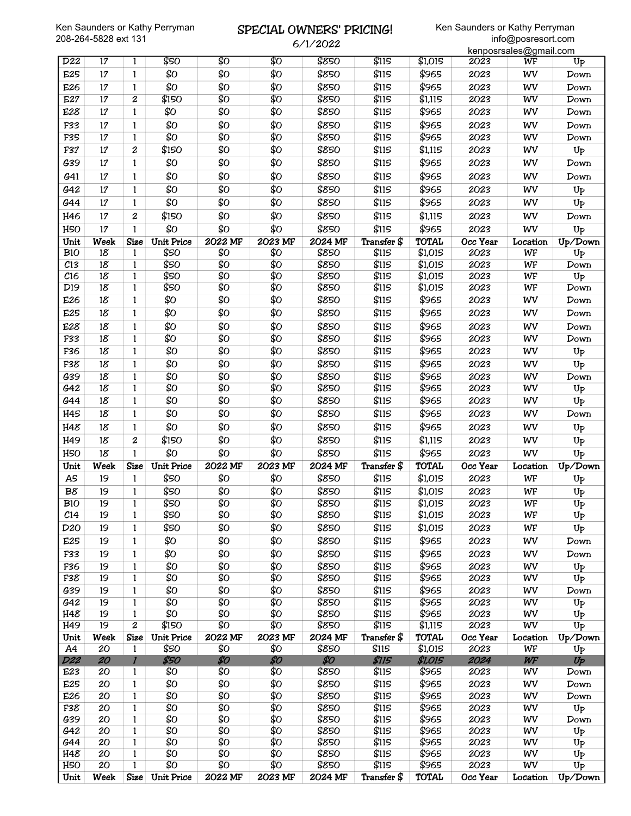#### SPECIAL OWNERS' PRICING! 6/1/2022

|                 |          |                   |                   |                |            | <b>D/I/2022</b> |                |                |              | kenposrsales@gmail.com |                |
|-----------------|----------|-------------------|-------------------|----------------|------------|-----------------|----------------|----------------|--------------|------------------------|----------------|
| D22             | 17       | 1                 | \$50              | \$0            | \$0        | \$850           | \$115          | \$1,015        | 2023         | $\overline{\text{WF}}$ | U <sub>P</sub> |
| E25             | 17       | $\mathbf{1}$      | \$0               | \$Ο            | \$Ο        | \$850           | \$115          | \$965          | 2023         | WV                     | Down           |
| E26             | 17       | $\mathbf{1}$      | \$Ο               | \$Ο            | \$Ο        | \$850           | \$115          | \$965          | 2023         | WV                     | Down           |
| E27             | 17       | 2                 | \$150             | \$0            | \$0        | \$850           | \$115          | \$1,115        | 2023         | WV                     | Down           |
| E28             | 17       | $\mathbf{1}$      | \$Ο               | \$Ο            | \$Ο        | \$850           | \$115          | \$965          | 2023         | WV                     | Down           |
| F33             | $17\,$   | $\mathbf{1}$      | \$0               | \$Ο            | \$Ο        | \$850           | \$115          | \$965          | 2023         | WV                     | Down           |
| F35             | $17\,$   | $\mathbf{1}$      | \$0               | \$0            | \$0        | \$850           | \$115          | \$965          | 2023         | WV                     | Down           |
| F37             | $17\,$   | 2                 | \$150             | \$Ο            | \$Ο        | \$850           | \$115          | \$1,115        | 2023         | WV                     | Up             |
| G39             | 17       | 1                 | \$Ο               | \$Ο            | \$Ο        | \$850           | \$115          | \$965          | 2023         | WV                     | Down           |
| G41             | $17\,$   | 1                 | \$Ο               | \$Ο            | \$Ο        | \$850           | \$115          | \$965          | 2023         | WV                     | Down           |
| G42             | 17       | $\mathbf{1}$      | \$Ο               | \$Ο            | \$Ο        | \$850           | \$115          | \$965          | 2023         | WV                     | Up             |
| G44             | 17       | $\mathbf{1}$      | \$0               | \$Ο            | \$Ο        | \$850           | \$115          | \$965          | 2023         | WV                     | Up             |
| H46             | 17       | 2                 | \$150             | \$Ο            | \$Ο        | \$850           | \$115          | \$1,115        | 2023         | WV                     | Down           |
| H <sub>50</sub> | 17       | $\mathbf{1}$      | \$0               | \$Ο            | \$Ο        | \$850           | \$115          | \$965          | 2023         | WV                     | $U_{P}$        |
| Unit            | Week     | <b>Size</b>       | <b>Unit Price</b> | 2022 MF        | 2023 MF    | 2024 MF         | Transfer \$    | <b>TOTAL</b>   | Occ Year     | Location               | Up/Down        |
| <b>B10</b>      | $18\,$   | $\mathbf{1}$      | \$50              | \$0            | \$0        | \$850           | \$115          | \$1,015        | 2023         | WF                     | Up             |
| C13             | $18\,$   | 1                 | \$50              | \$0            | \$0        | \$850           | \$115          | \$1,015        | 2023         | WF                     | Down           |
| C16             | $18\,$   | $\mathbf{1}$      | \$50              | \$Ο            | \$Ο        | \$850           | \$115          | \$1,015        | 2023         | WF                     | Up             |
| D <sub>19</sub> | $18\,$   | 1                 | \$50              | \$0            | \$0        | \$850           | \$115          | \$1,015        | 2023         | WF                     | Down           |
| E26             | $18\,$   | 1                 | \$Ο               | \$Ο            | \$Ο        | \$850           | \$115          | \$965          | 2023         | WV                     | Down           |
| E25             | $18\,$   | 1                 | \$0               | \$Ο            | \$Ο        | \$850           | \$115          | \$965          | 2023         | WV                     | Down           |
| E28             | $18\,$   | $\mathbf{1}$      | \$0               | \$Ο            | \$Ο        | \$850           | \$115          | \$965          | 2023         | WV                     | Down           |
| F33             | $18\,$   | 1                 | \$0               | \$0            | \$0        | \$850           | \$115          | \$965          | 2023         | WV                     | Down           |
| F36             | $18\,$   | $\mathbf{1}$      | \$0               | \$Ο            | \$Ο        | \$850           | \$115          | \$965          | 2023         | WV                     | $U_{P}$        |
| F38             | $18\,$   | $\mathbf{1}$      | \$Ο               | \$Ο            | \$Ο        | \$850           | \$115          | \$965          | 2023         | WV                     | Up             |
| G39             | $18\,$   | $\mathbf{1}$      | \$0               | \$0            | \$0        | \$850           | \$115          | \$965          | 2023         | WV                     | Down           |
| G42             | $18\,$   | 1                 | \$0               | \$0            | \$0        | \$850           | \$115          | \$965          | 2023         | WV                     | Up             |
| G44             | $18\,$   | $\mathbf{1}$      | \$0               | \$Ο            | \$Ο        | \$850           | \$115          | \$965          | 2023         | WV                     | Up             |
| H45             | $18\,$   | 1                 | \$0               | \$Ο            | \$0        | \$850           | \$115          | \$965          | 2023         | WV                     | Down           |
| H48             | 18       | 1                 | \$0               | \$Ο            | \$Ο        | \$850           | \$115          | \$965          | 2023         | WV                     | $U_{P}$        |
| H49             | 18       | $\boldsymbol{2}$  | \$150             | \$Ο            | \$Ο        | \$850           | \$115          | \$1,115        | 2023         | WV                     | Up             |
| H <sub>50</sub> | 18       | 1                 | \$0               | \$Ο            | \$Ο        | \$850           | \$115          | \$965          | 2023         | WV                     | Up             |
| Unit            | Week     | <b>Size</b>       | Unit Price        | <b>2022 MF</b> | 2023 MF    | 2024 MF         | Transfer \$    | <b>TOTAL</b>   | Occ Year     | Location               | Up/Down        |
| A <sub>5</sub>  | 19       | 1                 | \$50              | \$О            | \$Ο        | \$850           | \$115          | \$1,015        | 2023         | WF                     | $U_{\text{P}}$ |
| B8              | 19       | 1                 | \$50              | \$Ο            | \$Ο        | \$850           | \$115          | \$1,015        | 2023         | WF                     | Up             |
| <b>B10</b>      | 19       | $\mathbf{1}$      | \$50              | \$0            | \$0        | \$850           | \$115          | \$1,015        | 2023         | WF                     | Up             |
| C <sub>14</sub> | 19       | 1                 | \$50              | \$Ο            | \$Ο        | \$850           | \$115          | \$1,015        | 2023         | WF                     | $U_{\text{P}}$ |
| D <sub>20</sub> | 19       | 1                 | \$50              | \$О            | \$Ο        | \$850           | \$115          | \$1,015        | 2023         | WF                     | $U_{P}$        |
| E25             | 19       | 1                 | \$Ο               | \$Ο            | \$Ο        | \$850           | \$115          | \$965          | 2023         | WV                     | Down           |
| F33             | 19       | 1                 | \$Ο               | \$Ο            | \$Ο        | \$850           | \$115          | \$965          | 2023         | WV                     | Down           |
| F36             | 19       | $\mathbf{1}$      | \$0               | \$0            | \$0        | \$850           | \$115          | \$965          | 2023         | WV                     | U <sub>P</sub> |
| F38             | 19       | 1                 | \$Ο               | \$Ο            | \$0        | \$850           | \$115          | \$965          | 2023         | WV                     | $U_{P}$        |
| G39             | 19       | $\mathbf{1}$      | \$Ο               | \$Ο            | \$Ο        | \$850           | \$115          | \$965          | 2023         | WV                     | Down           |
| G42             | 19       | $\mathbf{1}$      | \$0               | \$0            | \$0        | \$850           | \$115          | \$965          | 2023         | WV                     | $U_{P}$        |
| H48             | 19       | 1                 | \$0               | \$0            | \$0        | \$850           | \$115          | \$965          | 2023         | WV                     | $U_{P}$        |
| H49             | 19       | $\boldsymbol{2}$  | \$150             | \$Ο            | \$Ο        | \$850           | \$115          | \$1,115        | 2023         | WV                     | Up             |
| Unit            | Week     | <b>Size</b>       | <b>Unit Price</b> | 2022 MF        | 2023 MF    | 2024 MF         | Transfer \$    | <b>TOTAL</b>   | Occ Year     | Location               | Up/Down        |
| A4              | 20       | $\mathbf{1}$      | \$50              | \$0            | \$0<br>\$0 | \$850           | \$115          | \$1,015        | 2023         | WF                     | $U_{P}$        |
| <b>D22</b>      | 20       | $\boldsymbol{l}$  | \$50<br>\$Ο       | \$0<br>\$0     | \$0        | \$0             | \$115          | \$1,015        | 2024         | WF                     | $U_P$          |
| E23<br>E25      | 20<br>20 | 1<br>$\mathbf{1}$ | \$Ο               | \$Ο            | \$Ο        | \$850<br>\$850  | \$115<br>\$115 | \$965<br>\$965 | 2023<br>2023 | WV<br>WV               | Down<br>Down   |
| E26             | 20       | $\mathbf{1}$      | \$Ο               | \$Ο            | \$Ο        | \$850           | \$115          | \$965          | 2023         | WV                     | Down           |
| F38             | 20       | 1                 | \$Ο               | \$0            | \$0        | \$850           | \$115          | \$965          | 2023         | WV                     | Up             |
| G39             | 20       | 1                 | \$0               | \$0            | \$0        | \$850           | \$115          | \$965          | 2023         | WV                     | Down           |
| G42             | 20       | 1                 | \$0               | \$0            | \$0        | \$850           | \$115          | \$965          | 2023         | WV                     | $U_{P}$        |
| G44             | 20       | $\mathbf{1}$      | \$0               | \$Ο            | \$Ο        | \$850           | \$115          | \$965          | 2023         | WV                     | U <sub>P</sub> |
| H48             | 20       | 1                 | \$0               | \$0            | \$0        | \$850           | \$115          | \$965          | 2023         | WV                     | Up             |
| H <sub>50</sub> | 20       | $\mathbf{1}$      | \$0               | \$Ο            | \$0        | \$850           | \$115          | \$965          | 2023         | WV                     | Up             |
|                 | Week     | Size              | <b>Unit Price</b> | 2022 MF        | 2023 MF    | 2024 MF         | Transfer \$    | <b>TOTAL</b>   | Occ Year     | Location               | Up/Down        |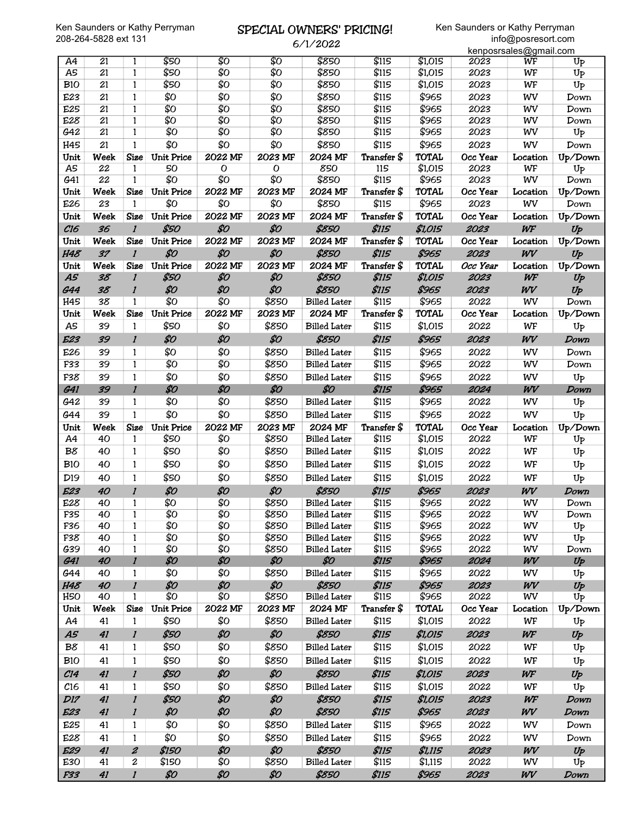#### SPECIAL OWNERS' PRICING! 6/1/2022

|                 |                 |                              |                   |             |                | O/ 1/ 2022                                 |                |                |              | kenposrsales@gmail.com |                    |
|-----------------|-----------------|------------------------------|-------------------|-------------|----------------|--------------------------------------------|----------------|----------------|--------------|------------------------|--------------------|
| A4              | 21              | 1                            | \$50              | \$0         | \$0            | \$850                                      | \$115          | \$1,015        | 2023         | WF                     | U <sub>P</sub>     |
| A5              | $\overline{21}$ | $\mathbf{1}$                 | \$50              | \$0         | \$0            | \$850                                      | \$115          | \$1,015        | 2023         | WF                     | Up                 |
| <b>B10</b>      | 21              | $\mathbf{1}$                 | \$50              | \$0         | \$0            | \$850                                      | \$115          | \$1,015        | 2023         | WF                     | U <sub>P</sub>     |
| E23             | 21              | 1                            | \$Ο               | \$Ο         | \$Ο            | \$850                                      | \$115          | \$965          | 2023         | WV                     | Down               |
| E25             | 21              | $\mathbf{1}$                 | \$0               | \$0         | \$0            | \$850                                      | \$115          | \$965          | 2023         | WV                     | Down               |
| E28             | 21              | 1                            | \$0               | \$0         | \$0            | \$850                                      | \$115          | \$965          | 2023         | WV                     | Down               |
| G42             | $\overline{21}$ | 1                            | \$0               | \$0         | \$0            | \$850                                      | \$115          | \$965          | 2023         | WV                     | Up                 |
| H45             | 21              | 1                            | \$Ο               | \$Ο         | \$Ο            | \$850                                      | \$115          | \$965          | 2023         | WV                     | Down               |
| Unit            | Week            | Size                         | <b>Unit Price</b> | 2022 MF     | 2023 MF        | 2024 MF                                    | Transfer \$    | <b>TOTAL</b>   | Occ Year     | Location               | Up/Down            |
| A5              | 22              | $\mathbf{1}$                 | 50                | $\mathbf 0$ | $\mathbf 0$    | 850                                        | 115            | \$1,015        | 2023         | WF                     | Up                 |
| G41             | $\overline{22}$ | $\mathbf{1}$                 | \$0               | \$0         | \$0            | \$850                                      | \$115          | \$965          | 2023         | WV                     | Down               |
| Unit            | Week            | Size                         | <b>Unit Price</b> | 2022 MF     | 2023 MF        | 2024 MF                                    | Transfer \$    | <b>TOTAL</b>   | Occ Year     | Location               | Up/Down            |
| E26             | 23              | 1                            | \$Ο               | \$Ο         | \$0            | \$850                                      | \$115          | \$965          | 2023         | WV                     | Down               |
| Unit            | Week            | <b>Size</b>                  | <b>Unit Price</b> | 2022 MF     | 2023 MF        | 2024 MF                                    | Transfer \$    | <b>TOTAL</b>   | Occ Year     | Location               | Up/Down            |
| C16             | 36              | $\mathbf{I}$                 | \$50              | \$0         | \$0            | \$850                                      | <b>\$115</b>   | \$1,015        | 2023         | WF                     | Up                 |
| Unit            | Week            | <b>Size</b>                  | <b>Unit Price</b> | 2022 MF     | 2023 MF        | 2024 MF                                    | Transfer \$    | <b>TOTAL</b>   | Occ Year     | Location               | Up/Down            |
| H48             | 37              | $\mathbf{I}$                 | \$0               | \$0         | \$0            | \$850                                      | <b>\$115</b>   | \$965          | 2023         | WV                     | Up                 |
| Unit            | Week            | <b>Size</b>                  | <b>Unit Price</b> | 2022 MF     | 2023 MF        | 2024 MF                                    | Transfer \$    | <b>TOTAL</b>   | Occ Year     | Location               | Up/Down            |
| A5              | 38              | $\mathbf{I}$                 | \$50              | \$0         | \$0            | \$850                                      | <b>\$115</b>   | \$1,015        | 2023         | WF                     | Up                 |
| <b>G44</b>      | 38              | $\mathbf{I}$                 | \$0               | \$0         | \$0            | \$850                                      | <b>\$115</b>   | \$965          | 2023         | WV                     | Up                 |
| H45             | 38              | 1                            | \$0               | \$0         | \$850          | <b>Billed Later</b>                        | \$115          | \$965          | 2022         | WV                     | Down               |
| Unit            | Week            | <b>Size</b>                  | <b>Unit Price</b> | 2022 MF     | 2023 MF        | 2024 MF                                    | Transfer \$    | <b>TOTAL</b>   | Occ Year     | Location               | Up/Down            |
| A5              | 39              | $\mathbf{1}$                 | \$50              | \$Ο         | \$850          | <b>Billed Later</b>                        | \$115          | \$1,015        | 2022         | WF                     | Up                 |
| E23             | 39              | $\boldsymbol{l}$             | \$0               | \$0         | \$0            | \$850                                      | \$115          | \$965          | 2023         | WV                     | Down               |
| E26             | 39              | 1                            | \$Ο               | \$Ο         | \$850          | <b>Billed Later</b>                        | \$115          | \$965          | 2022         | WV                     | Down               |
| F33             | 39              | $\mathbf{1}$                 | \$0               | \$0         | \$850          | <b>Billed Later</b>                        | \$115          | \$965          | 2022         | WV                     | Down               |
| F38             | 39              | $\mathbf{1}$                 | \$Ο               | \$Ο         | \$850          | <b>Billed Later</b>                        | \$115          | \$965          | 2022         | WV                     | $U_{P}$            |
| <b>G41</b>      | 39              | $\mathbf{I}$                 | \$0               | \$0         | \$0            | \$0                                        | <b>\$115</b>   | \$965          | 2024         | WV                     | Down               |
| G42             | 39              | 1                            | \$О               | \$Ο         | \$850          | <b>Billed Later</b>                        | \$115          | \$965          | 2022         | WV                     | $U_{P}$            |
| G44             | 39              | $\mathbf{1}$                 | \$Ο               | \$Ο         | \$850          | <b>Billed Later</b>                        | \$115          | \$965          | 2022         | WV                     | Up                 |
| Unit            | Week            | <b>Size</b>                  | <b>Unit Price</b> | 2022 MF     | 2023 MF        | 2024 MF                                    | Transfer \$    | <b>TOTAL</b>   | Occ Year     | Location               | Up/Down            |
| A4              | 40              | $\mathbf{1}$                 | \$50              | \$0         | \$850          | <b>Billed Later</b>                        | \$115          | \$1,015        | 2022         | WF                     | $U_{P}$            |
| B8              | 40              | $\mathbf{1}$                 | \$50              | \$Ο         | \$850          | <b>Billed Later</b>                        | \$115          | \$1,015        | 2022         | WF                     | $U_{P}$            |
| <b>B10</b>      | 40              | 1                            | \$50              | \$Ο         | \$850          | <b>Billed Later</b>                        | \$115          | \$1,015        | 2022         | WF                     |                    |
|                 |                 |                              |                   |             |                |                                            |                |                |              |                        | $U_{P}$            |
| D <sub>19</sub> | 40              | $\mathbf{1}$                 | \$50              | \$Ο         | \$850          | <b>Billed Later</b>                        | \$115          | \$1,015        | 2022         | WF                     | Up                 |
| E23             | 40              | $\mathbf{I}$                 | \$0               | \$0         | \$0            | \$850                                      | \$115          | \$965          | 2023         | WV                     | Down               |
| E28             | 40              | 1                            | \$0               | \$0         | \$850          | <b>Billed Later</b>                        | \$115          | \$965          | 2022         | WV                     | Down               |
| F35             | 40              | $\mathbf{1}$                 | \$0<br>\$0        | \$0<br>\$0  | \$850          | <b>Billed Later</b>                        | \$115          | \$965          | 2022         | WV                     | Down               |
| F36<br>F38      | 40<br>40        | $\mathbf{1}$<br>$\mathbf{1}$ | \$0               | \$0         | \$850<br>\$850 | <b>Billed Later</b>                        | \$115<br>\$115 | \$965<br>\$965 | 2022<br>2022 | WV<br>WV               | $U_{P}$<br>$U_{P}$ |
| G39             | 40              | $\mathbf{1}$                 | \$0               | \$0         | \$850          | <b>Billed Later</b><br><b>Billed Later</b> | \$115          | \$965          | 2022         | WV                     | Down               |
| <b>G41</b>      | 40              | $\boldsymbol{l}$             | \$0               | \$0         | \$0            | \$0                                        | <b>\$115</b>   | \$965          | 2024         | WV                     | Up                 |
| G44             | 40              | 1                            | \$0               | \$Ο         | \$850          | <b>Billed Later</b>                        | \$115          | \$965          | 2022         | WV                     | $U_{P}$            |
| <b>H48</b>      | 40              | $\boldsymbol{l}$             | \$0               | \$0         | \$0            | \$850                                      | \$115          | \$965          | 2023         | WV                     | $U_P$              |
| H5O             | 40              | 1                            | \$Ο               | \$Ο         | \$850          | <b>Billed Later</b>                        | \$115          | \$965          | 2022         | WV                     | U <sub>P</sub>     |
| Unit            | Week            | <b>Size</b>                  | <b>Unit Price</b> | 2022 MF     | 2023 MF        | 2024 MF                                    | Transfer \$    | <b>TOTAL</b>   | Occ Year     | Location               | Up/Down            |
| A4              | 41              | 1                            | \$50              | \$Ο         | \$850          | <b>Billed Later</b>                        | \$115          | \$1,015        | 2022         | WF                     | $U_{P}$            |
| A5              | 41              | $\boldsymbol{\mathit{l}}$    | \$50              | \$0         | \$0            | \$850                                      | \$115          | \$1,015        | 2023         | WF                     | $U_P$              |
| B8              |                 |                              | \$50              | \$Ο         |                |                                            | \$115          | \$1,015        | 2022         |                        |                    |
|                 | 41              | 1                            |                   |             | \$850          | <b>Billed Later</b>                        |                |                |              | WF                     | Up                 |
| <b>B10</b>      | 41              | $\mathbf{1}$                 | \$50              | \$Ο         | \$850          | <b>Billed Later</b>                        | \$115          | \$1,015        | 2022         | WF                     | Up                 |
| C14             | 41              | $\boldsymbol{l}$             | \$50              | \$0         | \$0            | \$850                                      | \$115          | \$1,015        | 2023         | WF                     | Up                 |
| $c_{16}$        | 41              | $\mathbf{1}$                 | \$50              | \$Ο         | \$850          | <b>Billed Later</b>                        | \$115          | \$1,015        | 2022         | WF                     | $U_{P}$            |
| D17             | 41              | $\boldsymbol{l}$             | \$50              | \$0         | \$0            | \$850                                      | <b>\$115</b>   | \$1,015        | 2023         | WF                     | Down               |
| E23             | 41              | $\boldsymbol{l}$             | \$0               | \$0         | \$0            | \$850                                      | <b>\$115</b>   | \$965          | 2023         | WV                     | Down               |
| E25             | 41              | 1                            | \$Ο               | \$Ο         | \$850          | <b>Billed Later</b>                        | \$115          | \$965          | 2022         | WV                     | Down               |
|                 |                 |                              | \$Ο               | \$Ο         | \$850          | <b>Billed Later</b>                        | \$115          | \$965          | 2022         | WV                     | Down               |
| E28             | 41              | $\mathbf{1}$                 |                   |             |                |                                            |                |                |              |                        |                    |
| <b>E29</b>      | 41              | $\pmb{2}$                    | \$150             | \$0         | \$0            | \$850                                      | \$115          | \$1,115        | 2023         | WV                     | $U_P$              |
| E30             | 41              | $\boldsymbol{2}$             | \$150             | \$Ο         | \$850          | <b>Billed Later</b>                        | \$115          | \$1,115        | 2022         | WV                     | $U_{P}$            |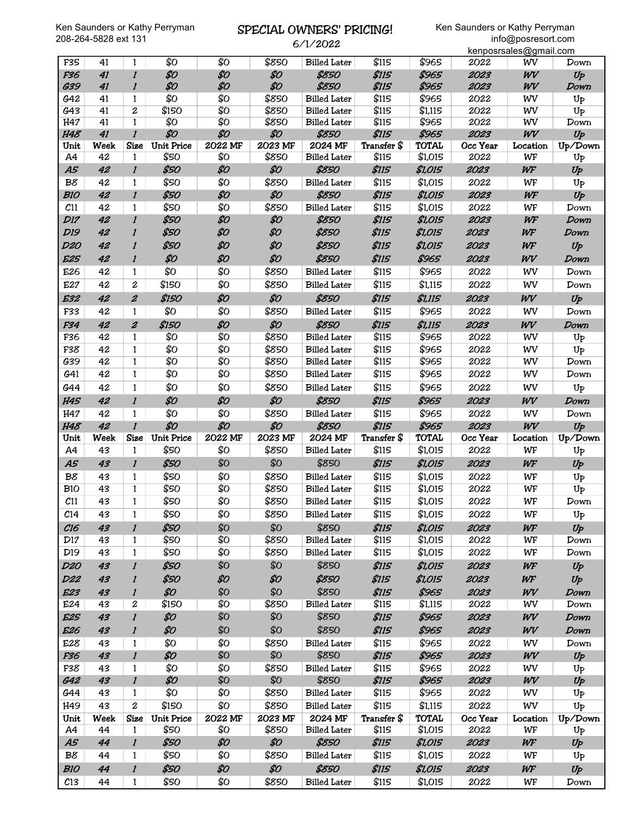# SPECIAL OWNERS' PRICING!

6/1/2022

|                   |          |                              |                            |                |                  | 0/1/2022                       |                      |                         |                  | kenposrsales@gmail.com |                 |
|-------------------|----------|------------------------------|----------------------------|----------------|------------------|--------------------------------|----------------------|-------------------------|------------------|------------------------|-----------------|
| F35               | 41       | 1                            | \$0                        | \$Ο            | \$850            | <b>Billed Later</b>            | \$115                | \$965                   | 2022             | wv                     | Down            |
| F36               | 41       | $\mathbf{I}$                 | \$0                        | \$0            | \$0              | \$850                          | <b>\$115</b>         | \$965                   | 2023             | WV                     | $U_P$           |
| G39               | 41       | $\boldsymbol{l}$             | \$0                        | \$0            | \$0              | \$850                          | <b>\$115</b>         | \$965                   | 2023             | WV                     | Down            |
| G42               | 41       | 1                            | \$Ο                        | \$0            | \$850            | <b>Billed Later</b>            | \$115                | \$965                   | 2022             | WV                     | $U_{P}$         |
| G43               | 41       | $\overline{c}$               | \$150                      | \$0            | \$850            | <b>Billed Later</b>            | \$115                | \$1,115                 | 2022             | WV                     | U <sub>P</sub>  |
| H47<br><b>H48</b> | 41<br>41 | $\mathbf{1}$<br>$\mathbf{I}$ | \$0<br>\$0                 | \$0<br>\$0     | \$850<br>\$0     | <b>Billed Later</b><br>\$850   | \$115<br>\$115       | \$965<br>\$965          | 2022<br>2023     | WV<br>WV               | Down<br>$U_{P}$ |
| Unit              | Week     | <b>Size</b>                  | <b>Unit Price</b>          | 2022 MF        | 2023 MF          | 2024 MF                        | Transfer \$          | <b>TOTAL</b>            | Occ Year         | Location               | Up/Down         |
| A4                | 42       | 1                            | \$50                       | \$0            | \$850            | <b>Billed</b> Later            | \$115                | \$1,015                 | 2022             | WF                     | U <sub>P</sub>  |
| A5                | 42       | $\mathbf{I}$                 | \$50                       | \$0            | \$0              | \$850                          | <b>\$115</b>         | \$1,015                 | 2023             | WF                     | Up              |
| B8                | 42       | 1                            | \$50                       | \$Ο            | \$850            | <b>Billed Later</b>            | \$115                | \$1,015                 | 2022             | WF                     | U <sub>P</sub>  |
| <b>B10</b>        | 42       | $\mathbf{I}$                 | \$50                       | \$0            | \$0              | \$850                          | <b>\$115</b>         | \$1,015                 | 2023             | WF                     | Up              |
| C <sub>11</sub>   | 42       | 1                            | \$50                       | \$Ο            | \$850            | <b>Billed Later</b>            | \$115                | \$1,015                 | 2022             | WF                     | Down            |
| <b>D17</b>        | 42       | $\mathbf{I}$                 | \$50                       | \$0            | \$0              | \$850                          | <b>\$115</b>         | \$1,015                 | 2023             | WF                     | Down            |
| <b>D19</b>        | 42       | 1                            | \$50                       | \$0            | \$0              | \$850                          | <b>\$115</b>         | \$1,015                 | 2023             | WF                     | Down            |
| <b>D20</b>        | 42       | 1                            | \$50                       | \$0            | \$0              | \$850                          | \$115                | \$1,015                 | 2023             | WF                     | Up              |
| <b>E25</b>        | 42       | $\mathbf{I}$                 | \$0                        | \$0            | \$0              | \$850                          | <b>\$115</b>         | \$965                   | 2023             | WV                     | Down            |
| E26               | 42       | 1                            | \$Ο                        | \$Ο            | \$850            | <b>Billed Later</b>            | \$115                | \$965                   | 2022             | WV                     | Down            |
| E27               | 42       | $\overline{c}$               | \$150                      | \$Ο            | \$850            | <b>Billed Later</b>            | \$115                | \$1,115                 | 2022             | WV                     | Down            |
| <b>E32</b>        | 42       | $\boldsymbol{z}$             | \$150                      | \$0            | \$0              | \$850                          | \$115                | \$1,115                 | 2023             | WV                     | $U_P$           |
| F33               | 42       | 1                            | \$Ο                        | \$Ο            | \$850            | <b>Billed Later</b>            | \$115                | \$965                   | 2022             | WV                     | Down            |
| F34               | 42       | $\boldsymbol{z}$             | \$150                      | \$0            | \$0              | \$850                          | <b>\$115</b>         | \$1,115                 | 2023             | WV                     | Down            |
| F36               | 42       | 1                            | \$0                        | \$0            | \$850            | <b>Billed Later</b>            | \$115                | \$965                   | 2022             | WV                     | U <sub>P</sub>  |
| F38               | 42       | $\mathbf{1}$                 | \$Ο                        | \$Ο            | \$850            | <b>Billed Later</b>            | \$115                | \$965                   | 2022             | WV                     | Up              |
| G39               | 42       | $\mathbf{1}$                 | \$0                        | \$0            | \$850            | <b>Billed Later</b>            | \$115                | \$965                   | 2022             | WV                     | Down            |
| G41               | 42       | $\mathbf{1}$                 | \$Ο                        | \$Ο            | \$850            | <b>Billed Later</b>            | \$115                | \$965                   | 2022             | WV                     | Down            |
| G44               | 42       | $\mathbf{1}$                 | \$Ο                        | \$Ο            | \$850            | <b>Billed Later</b>            | \$115                | \$965                   | 2022             | WV                     | U <sub>P</sub>  |
| <b>H45</b>        | 42       | $\mathbf{I}$                 | \$0                        | \$0            | \$0              | \$850                          | \$115                | \$965                   | 2023             | WV                     | Down            |
| H47               | 42       | 1                            | \$Ο                        | \$Ο            | \$850            | <b>Billed Later</b>            | \$115                | \$965                   | 2022             | WV                     | Down            |
|                   |          |                              |                            |                |                  |                                |                      |                         |                  |                        |                 |
| <b>H48</b>        | 42       | $\mathbf{I}$                 | \$0                        | \$0            | \$0              | \$850                          | \$115                | \$965                   | 2023             | WV                     | Up              |
| Unit              | Week     | <b>Size</b>                  | <b>Unit Price</b>          | 2022 MF        | 2023 MF          | 2024 MF                        | Transfer \$          | <b>TOTAL</b>            | Occ Year         | Location               | Up/Down         |
| A4                | 43       | $\mathbf{1}$                 | \$50                       | \$Ο            | \$850            | <b>Billed Later</b>            | \$115                | \$1,015                 | 2022             | WF                     | Up              |
| A5                | 43       | $\boldsymbol{l}$             | \$50                       | \$Ο            | \$0              | \$850                          | <b>\$115</b>         | \$1,015                 | 2023             | WF                     | Up              |
| B8                | 43       | 1                            | \$50                       | \$0            | \$850            | <b>Billed Later</b>            | \$115                | \$1,015                 | 2022             | WF                     | Up              |
| <b>B10</b>        | 43       | 1                            | \$50                       | \$Ο            | \$850            | <b>Billed Later</b>            | \$115                | \$1,015                 | 2022             | WF                     | Up              |
| C11               | 43       | $\mathbf{1}$                 | \$50                       | \$Ο            | \$850            | <b>Billed Later</b>            | \$115                | \$1,015                 | 2022             | WF                     | Down            |
| C <sub>14</sub>   | 43       | 1                            | \$50                       | \$Ο            | \$850            | <b>Billed Later</b>            | \$115                | \$1,015                 | 2022             | WF                     | U <sub>P</sub>  |
| C16               | 43       | $\boldsymbol{l}$             | \$50                       | \$Ο            | \$О              | \$850                          | <b>\$115</b>         | \$1,015                 | 2023             | WF                     | Up              |
| D17               | 43       | $\mathbf{1}$                 | \$50                       | \$0            | \$850            | <b>Billed Later</b>            | \$115                | \$1,015                 | 2022             | WF                     | Down            |
| D <sub>19</sub>   | 43       | $\mathbf{1}$                 | \$50                       | \$Ο            | \$850            | <b>Billed Later</b>            | \$115                | \$1,015                 | 2022             | WF                     | Down            |
| <b>D20</b>        | 43       | $\boldsymbol{l}$             | \$50                       | \$Ο            | \$0              | \$850                          | \$115                | \$1,015                 | 2023             | WF                     | Up              |
| <b>D22</b>        | 43       | $\boldsymbol{\it l}$         | \$50                       | \$0            | \$0              | \$850                          | \$115                | \$1,015                 | 2023             | WF                     | Up              |
| <b>E23</b>        | 43       | $\boldsymbol{l}$             | \$0                        | \$Ο            | \$Ο              | \$850                          | <b>\$115</b>         | \$965                   | 2023             | WV                     | Down            |
| E24               | 43       | 2                            | \$150                      | \$0            | \$850            | <b>Billed Later</b>            | \$115                | \$1,115                 | 2022             | WV                     | Down            |
| <b>E25</b>        | 43       | $\mathbf{I}$                 | \$0                        | \$Ο            | \$0              | \$850                          | \$115                | \$965                   | 2023             | WV                     | Down            |
| E <sub>26</sub>   | 43       | $\boldsymbol{l}$             | \$0                        | \$Ο            | \$Ο              | \$850                          | <b>\$115</b>         | \$965                   | 2023             | WV                     | Down            |
| E28               | 43       | 1                            | \$Ο                        | \$0            | \$850            | <b>Billed Later</b>            | \$115                | \$965                   | 2022             | WV                     | Down            |
| F36               | 43       | $\boldsymbol{l}$             | \$0                        | \$Ο            | \$0              | \$850                          | \$115                | \$965                   | 2023             | WV                     | Up              |
| F38               | 43       | $\mathbf{1}$                 | \$Ο                        | \$Ο            | \$850            | <b>Billed Later</b>            | \$115                | \$965                   | 2022             | WV                     | $U_{P}$         |
| <b>G42</b><br>G44 | 43<br>43 | $\boldsymbol{l}$<br>1        | \$0<br>\$Ο                 | \$Ο<br>\$Ο     | \$0<br>\$850     | \$850<br><b>Billed Later</b>   | \$115<br>\$115       | \$965<br>\$965          | 2023<br>2022     | WV<br>WV               | Up              |
|                   | 43       | $\boldsymbol{2}$             |                            |                |                  |                                |                      |                         |                  |                        | $U_{P}$         |
| H49<br>Unit       | Week     | Size                         | \$150<br><b>Unit Price</b> | \$Ο<br>2022 MF | \$850<br>2023 MF | <b>Billed Later</b><br>2024 MF | \$115<br>Transfer \$ | \$1,115<br><b>TOTAL</b> | 2022<br>Occ Year | WV<br>Location         | Up<br>Up/Down   |
| A4                | 44       | $\mathbf{1}$                 | \$50                       | \$0            | \$850            | <b>Billed Later</b>            | \$115                | \$1,015                 | 2022             | WF                     | Up              |
| A5                | 44       | $\boldsymbol{l}$             | \$50                       | \$0            | \$0              | \$850                          | <b>\$115</b>         | \$1,015                 | 2023             | WF                     | $U_P$           |
| B8                | 44       | 1                            | \$50                       | \$Ο            | \$850            | <b>Billed Later</b>            | \$115                | \$1,015                 | 2022             | WF                     | $U_{P}$         |
| <b>B10</b>        | 44       | $\boldsymbol{l}$             | \$50                       | \$0            | \$0              | \$850                          | \$115                | \$1,015                 | 2023             | WF                     | Up              |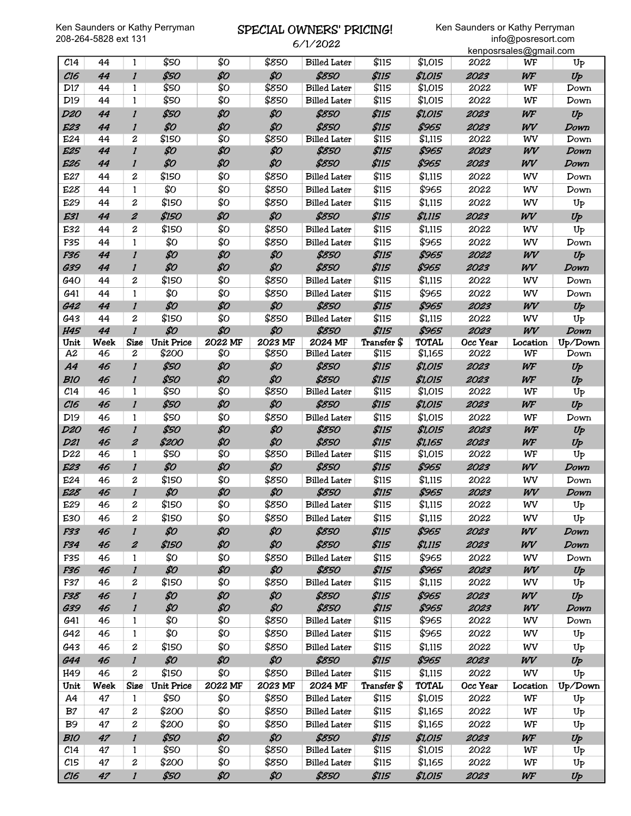# SPECIAL OWNERS' PRICING!

6/1/2022

|                 |             |                  |                   |         |         | 0/1/2022            |              |              |          | kenposrsales@gmail.com |                  |
|-----------------|-------------|------------------|-------------------|---------|---------|---------------------|--------------|--------------|----------|------------------------|------------------|
| C <sub>14</sub> | 44          | 1                | \$50              | \$0     | \$850   | <b>Billed Later</b> | \$115        | \$1,015      | 2022     | WF                     | U <sub>P</sub>   |
| C16             | 44          | $\boldsymbol{l}$ | \$50              | \$0     | \$0     | \$850               | <b>\$115</b> | \$1,015      | 2023     | WF                     | Up               |
| D17             | 44          | 1                | \$50              | \$Ο     | \$850   | <b>Billed Later</b> | \$115        | \$1,015      | 2022     | WF                     | Down             |
| D <sub>19</sub> | 44          | $\mathbf{1}$     | \$50              | \$Ο     | \$850   | <b>Billed Later</b> | \$115        | \$1,015      | 2022     | WF                     | Down             |
| D20             | 44          | $\mathbf{I}$     | \$50              | \$0     | \$0     | \$850               | <b>\$115</b> | \$1,015      | 2023     | WF                     | $U_P$            |
| <b>E23</b>      | 44          | $\boldsymbol{l}$ | \$0               | \$0     | \$0     | \$850               | <b>\$115</b> | \$965        | 2023     | WV                     | Down             |
| E24             | 44          | $\overline{c}$   | \$150             | \$0     | \$850   | <b>Billed Later</b> | \$115        | \$1,115      | 2022     | WV                     | Down             |
| E25             | 44          | $\boldsymbol{l}$ | \$0               | \$0     | \$0     | \$850               | \$115        | \$965        | 2023     | WV                     | Down             |
| E26             | 44          | $\mathbf{I}$     | \$0               | \$0     | \$0     | \$850               | <b>\$115</b> | \$965        | 2023     | WV                     | Down             |
| E27             | 44          | 2                | \$150             | \$Ο     | \$850   | <b>Billed Later</b> | \$115        | \$1,115      | 2022     | WV                     | Down             |
| E28             | 44          | 1                | \$0               | \$0     | \$850   | <b>Billed Later</b> | \$115        | \$965        | 2022     | WV                     | Down             |
| E29             | 44          | $\overline{c}$   | \$150             | \$Ο     | \$850   | <b>Billed Later</b> | \$115        | \$1,115      | 2022     | WV                     | Up               |
| E31             | 44          | $\pmb{2}$        | \$150             | \$0     | \$0     | \$850               | \$115        | \$1,115      | 2023     | WV                     | Up               |
| E32             | 44          | 2                | \$150             | \$0     | \$850   | <b>Billed Later</b> | \$115        | \$1,115      | 2022     | WV                     | U <sub>P</sub>   |
| F35             | 44          | $\mathbf{1}$     | \$0               | \$Ο     | \$850   | <b>Billed Later</b> | \$115        | \$965        | 2022     | WV                     | Down             |
| F36             | 44          | $\boldsymbol{l}$ | \$0               | \$0     | \$0     | \$850               | <b>\$115</b> | \$965        | 2022     | WV                     | Up               |
| G39             | 44          | $\mathbf{I}$     | \$0               | \$0     | \$0     | \$850               | <b>\$115</b> | \$965        | 2023     | WV                     | Down             |
| G40             | 44          | $\boldsymbol{2}$ | \$150             | \$Ο     | \$850   | <b>Billed Later</b> | \$115        | \$1,115      | 2022     | WV                     | Down             |
| G <sub>41</sub> | 44          | $\mathbf{1}$     | \$0               | \$Ο     | \$850   | <b>Billed Later</b> | \$115        | \$965        | 2022     | WV                     | Down             |
| G42             | 44          | $\mathbf{I}$     | \$0               | \$0     | \$0     | \$850               | \$115        | \$965        | 2023     | WV                     | Up               |
| G43             | 44          | $\boldsymbol{2}$ | \$150             | \$Ο     | \$850   | <b>Billed Later</b> | \$115        | \$1,115      | 2022     | WV                     | U <sub>P</sub>   |
| <b>H45</b>      | 44          | $\mathbf{I}$     | \$0               | \$0     | \$0     | \$850               | \$115        | \$965        | 2023     | WV                     | Down             |
| Unit            | <b>Week</b> | <b>Size</b>      | <b>Unit Price</b> | 2022 MF | 2023 MF | 2024 MF             | Transfer \$  | <b>TOTAL</b> | Occ Year | Location               | Up/Down          |
| A2              | 46          | $\boldsymbol{2}$ | \$200             | \$Ο     | \$850   | <b>Billed Later</b> | \$115        | \$1,165      | 2022     | WF                     | Down             |
| <b>A4</b>       | 46          | $\boldsymbol{l}$ | \$50              | \$0     | \$0     | \$850               | \$115        | \$1,015      | 2023     | WF                     | Up               |
| <b>B10</b>      | 46          | $\boldsymbol{l}$ | \$50              | \$0     | \$0     | \$850               | <b>\$115</b> | \$1,015      | 2023     | WF                     | Up               |
| C <sub>14</sub> | 46          | 1                | \$50              | \$Ο     | \$850   | <b>Billed Later</b> | \$115        | \$1,015      | 2022     | WF                     | Up               |
| C16             | 46          | $\boldsymbol{l}$ | \$50              | \$0     | \$0     | \$850               | \$115        | \$1,015      | 2023     | WF                     | Up               |
| D <sub>19</sub> | 46          | 1                | \$50              | \$Ο     | \$850   | <b>Billed Later</b> | \$115        | \$1,015      | 2022     | WF                     | Down             |
| <b>D20</b>      | 46          | $\mathbf{I}$     | \$50              | \$0     | \$0     | \$850               | \$115        | \$1,015      | 2023     | WF                     | Up               |
| <b>D21</b>      | 46          | $\boldsymbol{z}$ | \$200             | \$0     | \$0     | \$850               | <b>\$115</b> | \$1,165      | 2023     | WF                     | Up               |
| D22             | 46          | 1                | \$50              | \$Ο     | \$850   | <b>Billed Later</b> | \$115        | \$1,015      | 2022     | WF                     | Up               |
| <b>E23</b>      | 46          | $\boldsymbol{l}$ | \$0               | \$0     | \$0     | \$850               | <b>\$115</b> | \$965        | 2023     | WV                     | Down             |
| E24             | 46          | $\overline{c}$   | \$150             | \$0     | \$850   | <b>Billed Later</b> | \$115        | \$1,115      | 2022     | WV                     | Down             |
| <b>E28</b>      | 46          | $\boldsymbol{l}$ | \$0               | \$0     | \$0     | \$850               | \$115        | \$965        | 2023     | WV                     | Down             |
| E29             | 46          | $\boldsymbol{z}$ | \$150             | \$Ο     | \$850   | <b>Billed Later</b> | \$115        | \$1,115      | 2022     | WV                     | $U_{\mathsf{P}}$ |
| E30             | 46          | 2                | \$150             | \$0     | \$850   | <b>Billed Later</b> | \$115        | \$1,115      | 2022     | WV                     | $U_{P}$          |
| F33             | 46          | $\boldsymbol{l}$ | \$0               | \$0     | \$0     | \$850               | <b>\$115</b> | \$965        | 2023     | WV                     | Down             |
| F34             | 46          | $\pmb{2}$        | \$150             | \$0     | \$0     | \$850               | <b>\$115</b> | \$1,115      | 2023     | WV                     | Down             |
| F35             | 46          | 1                | \$Ο               | \$Ο     | \$850   | <b>Billed Later</b> | \$115        | \$965        | 2022     | WV                     | Down             |
| F36             | 46          | $\boldsymbol{l}$ | \$0               | \$0     | \$0     | \$850               | \$115        | \$965        | 2023     | WV                     | Up               |
| F37             | 46          | 2                | \$150             | \$Ο     | \$850   | <b>Billed Later</b> | \$115        | \$1,115      | 2022     | WV                     | $U_{P}$          |
| F38             | 46          | $\mathbf{I}$     | \$0               | \$0     | \$0     | \$850               | \$115        | \$965        | 2023     | WV                     | Up               |
| <b>G39</b>      | 46          | $\boldsymbol{l}$ | \$0               | \$0     | \$0     | \$850               | <b>\$115</b> | \$965        | 2023     | WV                     | Down             |
| G41             | 46          | 1                | \$0               | \$Ο     | \$850   | <b>Billed Later</b> | \$115        | \$965        | 2022     | WV                     | Down             |
| G42             | 46          | 1                | \$0               | \$Ο     | \$850   | <b>Billed Later</b> | \$115        | \$965        | 2022     | WV                     | $U_{P}$          |
| G43             | 46          | $\boldsymbol{2}$ | \$150             | \$Ο     | \$850   | <b>Billed Later</b> | \$115        | \$1,115      | 2022     | WV                     | $U_{P}$          |
| G44             | 46          | $\boldsymbol{l}$ | \$0               | \$0     | \$0     | \$850               | \$115        | \$965        | 2023     | WV                     | Up               |
| H49             | 46          | $\boldsymbol{2}$ | \$150             | \$Ο     | \$850   | <b>Billed Later</b> | \$115        | \$1,115      | 2022     | WV                     | U <sub>P</sub>   |
| Unit            | Week        | <b>Size</b>      | <b>Unit Price</b> | 2022 MF | 2023 MF | 2024 MF             | Transfer \$  | <b>TOTAL</b> | Occ Year | Location               | Up/Down          |
| A4              | 47          | 1                | \$50              | \$О     | \$850   | <b>Billed Later</b> | \$115        | \$1,015      | 2022     | WF                     | U <sub>P</sub>   |
| B <sub>7</sub>  | 47          | $\boldsymbol{2}$ | \$200             | \$Ο     | \$850   | <b>Billed Later</b> | \$115        | \$1,165      | 2022     | WF                     | Up               |
| B <sub>9</sub>  | 47          | 2                | \$200             | \$Ο     | \$850   | <b>Billed Later</b> | \$115        | \$1,165      | 2022     | WF                     | Up               |
| <b>B10</b>      | 47          | $\mathbf{I}$     | \$50              | \$0     | \$0     | \$850               | \$115        | \$1,015      | 2023     | WF                     | Up               |
| C <sub>14</sub> | 47          | 1                | \$50              | \$Ο     | \$850   | <b>Billed Later</b> | \$115        | \$1,015      | 2022     | WF                     | $U_{P}$          |
| C15             | 47          | 2                | \$200             | \$Ο     | \$850   | <b>Billed Later</b> | \$115        | \$1,165      | 2022     | WF                     | Up               |
| C16             | 47          | $\boldsymbol{l}$ | \$50              | \$0     | \$0     | \$850               | \$115        | \$1,015      | 2023     | WF                     | Up               |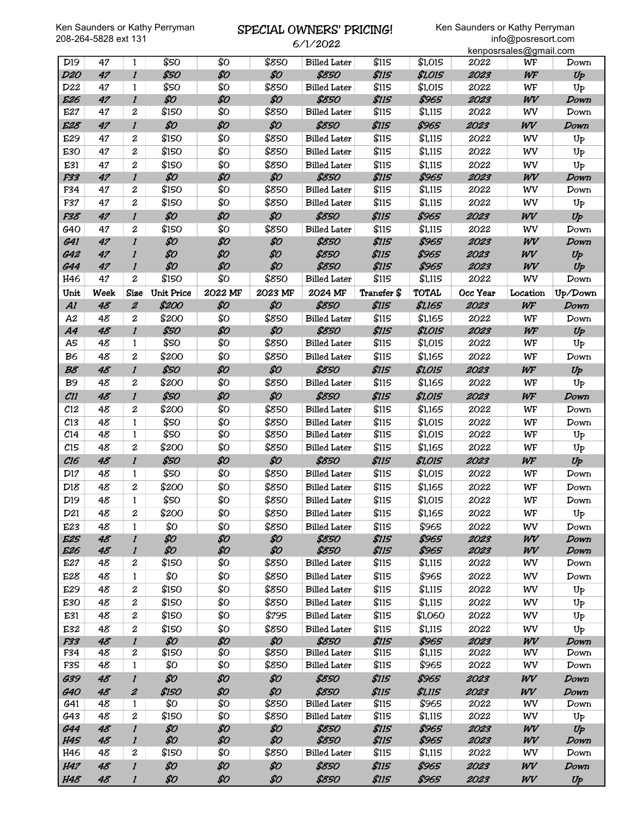# SPECIAL OWNERS' PRICING!

6/1/2022

|                 |      |                     |                   |         |         | V/ 1/ 2022          |              |              |          | kenposrsales@gmail.com |                |
|-----------------|------|---------------------|-------------------|---------|---------|---------------------|--------------|--------------|----------|------------------------|----------------|
| D <sub>19</sub> | 47   | 1                   | \$50              | \$Ο     | \$850   | <b>Billed Later</b> | \$115        | \$1,015      | 2022     | WF                     | Down           |
| <b>D20</b>      | 47   | $\mathbf{I}$        | \$50              | \$0     | \$0     | \$850               | <b>\$115</b> | \$1,015      | 2023     | WF                     | $U_P$          |
| D <sub>22</sub> | 47   | 1                   | \$50              | \$Ο     | \$850   | <b>Billed Later</b> | \$115        | \$1,015      | 2022     | WF                     | U <sub>P</sub> |
| E26             | 47   | $\mathbf{I}$        | \$0               | \$0     | \$0     | \$850               | <b>\$115</b> | \$965        | 2023     | WV                     | Down           |
| E27             | 47   | $\overline{c}$      | \$150             | \$Ο     | \$850   | <b>Billed Later</b> | \$115        | \$1,115      | 2022     | WV                     | Down           |
| E28             | 47   | $\mathbf{I}$        | \$0               | \$0     | \$0     | \$850               | <b>\$115</b> | \$965        | 2023     | WV                     | Down           |
| E29             | 47   | $\boldsymbol{2}$    | \$150             | \$Ο     | \$850   | <b>Billed Later</b> | \$115        | \$1,115      | 2022     | WV                     | $U_{P}$        |
| E30             | 47   | $\overline{c}$      | \$150             | \$Ο     | \$850   | <b>Billed Later</b> | \$115        | \$1,115      | 2022     | WV                     | Up             |
| E31             | 47   | $\overline{2}$      | \$150             | \$Ο     | \$850   | <b>Billed Later</b> | \$115        | \$1,115      | 2022     | WV                     | $U_{P}$        |
| F33             | 47   | $\mathbf{I}$        | \$0               | \$0     | \$0     | \$850               | <b>\$115</b> | \$965        | 2023     | WV                     | Down           |
| F34             | 47   | 2                   | \$150             | \$Ο     | \$850   | <b>Billed Later</b> | \$115        | \$1,115      | 2022     | WV                     | Down           |
| F37             | 47   | $\overline{c}$      | \$150             | \$Ο     | \$850   | <b>Billed Later</b> | \$115        | \$1,115      | 2022     | WV                     | Up             |
| F38             | 47   | $\mathbf{I}$        | \$0               | \$0     | \$0     | \$850               | \$115        | \$965        | 2023     | WV                     | Up             |
| <b>G40</b>      | 47   | $\overline{c}$      | \$150             | \$Ο     | \$850   | <b>Billed Later</b> | \$115        | \$1,115      | 2022     | WV                     | Down           |
| <b>G41</b>      | 47   | $\mathbf{I}$        | \$0               | \$0     | \$0     | \$850               | <b>\$115</b> | \$965        | 2023     | WV                     | Down           |
| <b>G42</b>      | 47   | $\boldsymbol{l}$    | \$0               | \$0     | \$0     | \$850               | \$115        | \$965        | 2023     | WV                     | Up             |
| <b>G44</b>      | 47   | $\mathbf{I}$        | \$0               | \$0     | \$0     | \$850               | <b>\$115</b> | \$965        | 2023     | WV                     | Up             |
| H46             | 47   | $\mathbf{2}$        | \$150             | \$Ο     | \$850   | <b>Billed Later</b> | \$115        | \$1,115      | 2022     | WV                     | Down           |
| Unit            | Week | <b>Size</b>         | <b>Unit Price</b> | 2022 MF | 2023 MF | 2024 MF             | Transfer \$  | <b>TOTAL</b> | Occ Year | Location               | Up/Down        |
| AI              | 48   | $\boldsymbol{z}$    | \$200             | \$0     | \$0     | \$850               | \$115        | \$1,165      | 2023     | WF                     | Down           |
| A2              | 48   | $\boldsymbol{2}$    | \$200             | \$Ο     | \$850   | <b>Billed Later</b> | \$115        | \$1,165      | 2022     | WF                     | Down           |
| A4              | 48   | $\boldsymbol{l}$    | \$50              | \$0     | \$0     | \$850               | \$115        | \$1,015      | 2023     | WF                     | Up             |
| A5              | 48   | 1                   | \$50              | \$Ο     | \$850   | <b>Billed Later</b> | \$115        | \$1,015      | 2022     | WF                     | U <sub>P</sub> |
| B <sub>6</sub>  | 48   | $\boldsymbol{2}$    | \$200             | \$0     | \$850   | <b>Billed Later</b> | \$115        | \$1,165      | 2022     | WF                     | Down           |
| B8              | 48   | $\mathbf{I}$        | \$50              | \$0     | \$0     | \$850               | \$115        | \$1,015      | 2023     | WF                     | $U_P$          |
| <b>B</b> 9      | 48   | $\overline{c}$      | \$200             | \$Ο     | \$850   | <b>Billed Later</b> | \$115        | \$1,165      | 2022     | WF                     | U <sub>P</sub> |
| CII             | 48   | $\boldsymbol{l}$    | \$50              | \$0     | \$0     | \$850               | \$115        | \$1,015      | 2023     | WF                     | Down           |
| $c_{12}$        | 48   | $\overline{c}$      | \$200             | \$Ο     | \$850   | <b>Billed Later</b> | \$115        | \$1,165      | 2022     | WF                     | Down           |
| C13             | 48   | $\mathbf{1}$        | \$50              | \$Ο     | \$850   | <b>Billed Later</b> | \$115        | \$1,015      | 2022     | WF                     | Down           |
| C <sub>14</sub> | 48   | $\mathbf{1}$        | \$50              | \$0     | \$850   | <b>Billed Later</b> | \$115        | \$1,015      | 2022     | WF                     | $U_{P}$        |
| C15             | 48   | $\overline{c}$      | \$200             | \$Ο     | \$850   | <b>Billed Later</b> | \$115        | \$1,165      | 2022     | WF                     | $U_{P}$        |
| C16             | 48   | $\mathbf{I}$        | \$50              | \$0     | \$0     | \$850               | \$115        | \$1,015      | 2023     | WF                     | Up             |
| D17             | 48   | 1                   | \$50              | \$Ο     | \$850   | <b>Billed Later</b> | \$115        | \$1,015      | 2022     | WF                     | Down           |
| D18             | 48   | $\overline{c}$      | \$200             | \$Ο     | \$850   | <b>Billed Later</b> | \$115        | \$1,165      | 2022     | WF                     | Down           |
| D <sub>19</sub> | 48   | 1                   | \$50              | \$Ο     | \$850   | <b>Billed Later</b> | \$115        | \$1,015      | 2022     | WF                     | Down           |
| D21             | 48   | 2                   | \$200             | \$Ο     | \$850   | <b>Billed Later</b> | \$115        | \$1,165      | 2022     | WF                     | U <sub>P</sub> |
| E23             | 48   | $\mathbf{1}$        | \$0               | \$Ο     | \$850   | <b>Billed Later</b> | \$115        | \$965        | 2022     | WV                     | Down           |
| <b>E25</b>      | 48   | $\mathbf{I}$        | \$0               | \$0     | \$0     | \$850               | \$115        | \$965        | 2023     | WV                     | Down           |
| E <sub>26</sub> | 48   | $\mathbf{I}$        | \$0               | \$0     | \$0     | \$850               | <b>\$115</b> | \$965        | 2023     | WV                     | Down           |
| E27             | 48   | 2                   | \$150             | \$Ο     | \$850   | <b>Billed Later</b> | \$115        | \$1,115      | 2022     | WV                     | Down           |
| E28             | 48   | $\mathbf{1}$        | \$Ο               | \$Ο     | \$850   | <b>Billed Later</b> | \$115        | \$965        | 2022     | WV                     | Down           |
| E29             | 48   | 2                   | \$150             | \$Ο     | \$850   | <b>Billed Later</b> | \$115        | \$1,115      | 2022     | WV                     | U <sub>P</sub> |
| E30             | 48   | 2                   | \$150             | \$Ο     | \$850   | <b>Billed Later</b> | \$115        | \$1,115      | 2022     | WV                     | U <sub>P</sub> |
| E31             | 48   | 2                   | \$150             | \$Ο     | \$795   | <b>Billed Later</b> | \$115        | \$1,060      | 2022     | WV                     | U <sub>P</sub> |
| E32             | 48   | $\boldsymbol{2}$    | \$150             | \$Ο     | \$850   | <b>Billed Later</b> | \$115        | \$1,115      | 2022     | WV                     | $U_{P}$        |
| F33             | 48   | $\mathbf{I}$        | \$0               | \$0     | \$0     | \$850               | \$115        | \$965        | 2023     | WV                     | Down           |
| F34             | 48   | 2                   | \$150             | \$Ο     | \$850   | <b>Billed Later</b> | \$115        | \$1,115      | 2022     | WV                     | Down           |
| F35             | 48   | 1                   | \$Ο               | \$Ο     | \$850   | <b>Billed Later</b> | \$115        | \$965        | 2022     | WV                     | Down           |
| <b>G39</b>      | 48   | $\boldsymbol{l}$    | \$0               | \$0     | \$0     | \$850               | \$115        | \$965        | 2023     | WV                     | Down           |
| <b>G40</b>      | 48   | $\pmb{\mathcal{Z}}$ | \$150             | \$0     | \$0     | \$850               | <b>\$115</b> | \$1,115      | 2023     | WV                     | Down           |
| G41             | 48   | 1                   | \$Ο               | \$Ο     | \$850   | <b>Billed Later</b> | \$115        | \$965        | 2022     | WV                     | Down           |
| G43             | 48   | 2                   | \$150             | \$Ο     | \$850   | <b>Billed Later</b> | \$115        | \$1,115      | 2022     | WV                     | U <sub>P</sub> |
| <b>G44</b>      | 48   | $\boldsymbol{l}$    | \$0               | \$0     | \$0     | \$850               | \$115        | \$965        | 2023     | WV                     | $U_{P}$        |
| <b>H45</b>      | 48   | $\mathbf{I}$        | \$0               | \$0     | \$0     | \$850               | \$115        | \$965        | 2023     | WV                     | Down           |
| H46             | 48   | 2                   | \$150             | \$0     | \$850   | <b>Billed Later</b> | \$115        | \$1,115      | 2022     | wv                     | Down           |
| <b>H47</b>      | 48   | $\boldsymbol{l}$    | \$0               | \$0     | \$0     | \$850               | \$115        | \$965        | 2023     | WV                     | Down           |
| <b>H48</b>      | 48   | $\boldsymbol{l}$    | \$0               | \$0     | \$0     | \$850               | \$115        | \$965        | 2023     | WV                     | Up             |
|                 |      |                     |                   |         |         |                     |              |              |          |                        |                |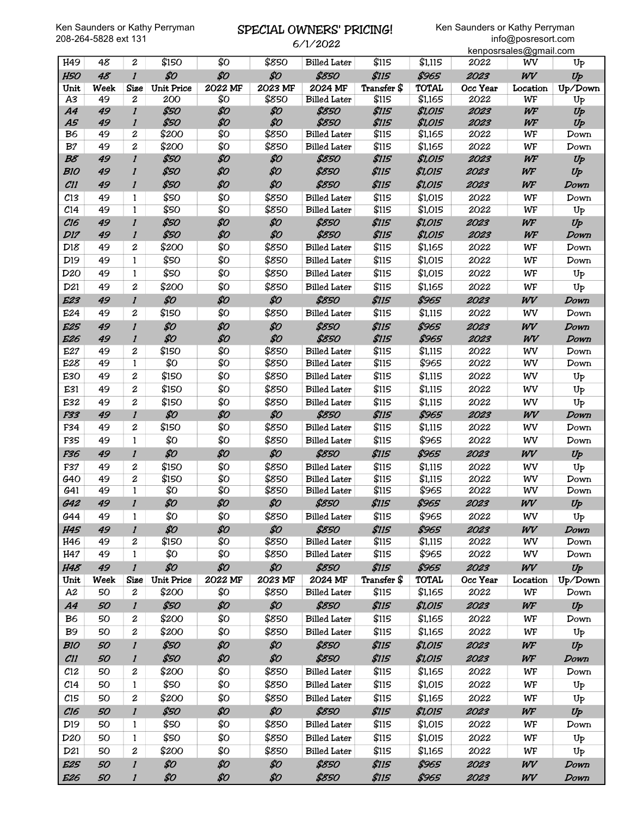# SPECIAL OWNERS' PRICING!

6/1/2022

|                 |      |                           |                   |         |         |                     |              |              |          | kenposrsales@gmail.com |                |
|-----------------|------|---------------------------|-------------------|---------|---------|---------------------|--------------|--------------|----------|------------------------|----------------|
| H49             | 48   | $\boldsymbol{2}$          | \$150             | \$0     | \$850   | <b>Billed Later</b> | \$115        | \$1,115      | 2022     | WV                     | $U_{P}$        |
| <b>H50</b>      | 48   | $\boldsymbol{l}$          | \$0               | \$0     | \$0     | \$850               | \$115        | \$965        | 2023     | WV                     | Up             |
| Unit            | Week | <b>Size</b>               | <b>Unit Price</b> | 2022 MF | 2023 MF | 2024 MF             | Transfer \$  | <b>TOTAL</b> | Occ Year | Location               | Up/Down        |
| A3              | 49   | $\boldsymbol{2}$          | 200               | \$0     | \$850   | <b>Billed Later</b> | \$115        | \$1,165      | 2022     | WF                     | U <sub>P</sub> |
| A4              | 49   | $\boldsymbol{l}$          | \$50              | \$0     | \$0     | \$850               | \$115        | \$1,015      | 2023     | WF                     | Up             |
| <b>A5</b>       | 49   | $\boldsymbol{l}$          | \$50              | \$0     | \$0     | \$850               | <b>\$115</b> | \$1,015      | 2023     | WF                     | Up             |
| B <sub>6</sub>  | 49   | 2                         | \$200             | \$0     | \$850   | <b>Billed Later</b> | \$115        | \$1,165      | 2022     | WF                     | Down           |
| B <sub>7</sub>  | 49   | $\overline{c}$            | \$200             | \$Ο     | \$850   | <b>Billed Later</b> | \$115        | \$1,165      | 2022     | WF                     | Down           |
| B8              | 49   | $\boldsymbol{l}$          | \$50              | \$0     | \$0     | \$850               | \$115        | \$1,015      | 2023     | WF                     | Up             |
| <b>B10</b>      | 49   | $\boldsymbol{l}$          | \$50              | \$0     | \$0     | \$850               | \$115        | \$1,015      | 2023     | WF                     | Up             |
| CII             | 49   | $\boldsymbol{l}$          | \$50              | \$0     | \$0     | \$850               | \$115        | \$1,015      | 2023     | WF                     | Down           |
| C13             | 49   | 1                         | \$50              | \$Ο     | \$850   | <b>Billed Later</b> | \$115        | \$1,015      | 2022     | WF                     | Down           |
| C <sub>14</sub> | 49   | $\mathbf{1}$              | \$50              | \$0     | \$850   | <b>Billed Later</b> | \$115        | \$1,015      | 2022     | WF                     | $U_{P}$        |
| C16             | 49   | $\mathbf{I}$              | \$50              | \$0     | \$0     | \$850               | \$115        | \$1,015      | 2023     | WF                     | Up             |
| <b>D17</b>      | 49   | $\boldsymbol{l}$          | \$50              | \$0     | \$0     | \$850               | <b>\$115</b> | \$1,015      | 2023     | WF                     | Down           |
| D18             | 49   | 2                         | \$200             | \$Ο     | \$850   | <b>Billed Later</b> | \$115        | \$1,165      | 2022     | WF                     | Down           |
| D <sub>19</sub> | 49   | 1                         | \$50              | \$0     | \$850   | <b>Billed Later</b> | \$115        | \$1,015      | 2022     | WF                     | Down           |
| D <sub>20</sub> | 49   | $\mathbf{1}$              | \$50              | \$Ο     | \$850   | <b>Billed Later</b> | \$115        | \$1,015      | 2022     | WF                     | Up             |
| D <sub>21</sub> | 49   | $\overline{c}$            | \$200             | \$Ο     | \$850   | <b>Billed Later</b> | \$115        | \$1,165      | 2022     | WF                     | Up             |
| E23             | 49   | $\mathbf{I}$              | \$0               | \$0     | \$0     | \$850               | <b>\$115</b> | \$965        | 2023     | WV                     | Down           |
|                 |      |                           | \$150             | \$Ο     |         |                     | \$115        |              |          |                        |                |
| E24             | 49   | 2                         |                   |         | \$850   | <b>Billed Later</b> |              | \$1,115      | 2022     | WV                     | Down           |
| <b>E25</b>      | 49   | $\mathbf{I}$              | \$0               | \$0     | \$0     | \$850               | \$115        | \$965        | 2023     | WV                     | Down           |
| E26             | 49   | $\boldsymbol{l}$          | \$0               | \$0     | \$0     | \$850               | <b>\$115</b> | \$965        | 2023     | WV                     | Down           |
| E27             | 49   | $\overline{c}$            | \$150             | \$0     | \$850   | <b>Billed Later</b> | \$115        | \$1,115      | 2022     | WV                     | Down           |
| E28             | 49   | 1                         | \$0               | \$0     | \$850   | <b>Billed Later</b> | \$115        | \$965        | 2022     | WV                     | Down           |
| E30             | 49   | 2                         | \$150             | \$Ο     | \$850   | <b>Billed Later</b> | \$115        | \$1,115      | 2022     | WV                     | $U_{P}$        |
| E31             | 49   | $\overline{c}$            | \$150             | \$Ο     | \$850   | <b>Billed Later</b> | \$115        | \$1,115      | 2022     | WV                     | $U_{P}$        |
| E32             | 49   | $\overline{c}$            | \$150             | \$0     | \$850   | <b>Billed Later</b> | \$115        | \$1,115      | 2022     | WV                     | Up             |
| F33             | 49   | $\mathbf{I}$              | \$0               | \$0     | \$0     | \$850               | <b>\$115</b> | \$965        | 2023     | WV                     | Down           |
| F34             | 49   | 2                         | \$150             | \$Ο     | \$850   | <b>Billed Later</b> | \$115        | \$1,115      | 2022     | WV                     | Down           |
| F35             | 49   | $\mathbf{1}$              | \$Ο               | \$0     | \$850   | <b>Billed Later</b> | \$115        | \$965        | 2022     | WV                     | Down           |
| F36             | 49   | $\mathbf{I}$              | \$0               | \$0     | \$0     | \$850               | <b>\$115</b> | \$965        | 2023     | WV                     | $U_P$          |
| F37             | 49   | $\boldsymbol{2}$          | \$150             | \$Ο     | \$850   | <b>Billed Later</b> | \$115        | \$1,115      | 2022     | WV                     | Up             |
| G40             | 49   | $\boldsymbol{2}$          | \$150             | \$0     | \$850   | <b>Billed</b> Later | \$115        | \$1,115      | 2022     | WV                     | Down           |
| G41             | 49   | 1                         | \$0               | \$0     | \$850   | <b>Billed Later</b> | \$115        | \$965        | 2022     | WV                     | Down           |
| <b>G42</b>      | 49   | $\boldsymbol{l}$          | \$0               | \$0     | \$0     | \$850               | <b>\$115</b> | \$965        | 2023     | WV                     | $U_P$          |
| G44             | 49   | 1                         | \$О               | \$Ο     | \$850   | <b>Billed Later</b> | \$115        | \$965        | 2022     | WV                     | $U_{P}$        |
| <b>H45</b>      | 49   | $\mathbf{I}$              | \$0               | \$0     | \$0     | \$850               | \$115        | \$965        | 2023     | WV                     | Down           |
| H46             | 49   | 2                         | \$150             | \$0     | \$850   | <b>Billed Later</b> | \$115        | \$1,115      | 2022     | WV                     | Down           |
| H47             | 49   | $\mathbf{1}$              | \$Ο               | \$Ο     | \$850   | <b>Billed Later</b> | \$115        | \$965        | 2022     | WV                     | Down           |
| <b>H48</b>      | 49   | $\mathbf{I}$              | \$0               | \$0     | \$0     | \$850               | \$115        | \$965        | 2023     | WV                     | $U_P$          |
| Unit            | Week | <b>Size</b>               | <b>Unit Price</b> | 2022 MF | 2023 MF | 2024 MF             | Transfer \$  | <b>TOTAL</b> | Occ Year | Location               | Up/Down        |
| A2              | 50   | $\boldsymbol{2}$          | \$200             | \$Ο     | \$850   | <b>Billed Later</b> | \$115        | \$1,165      | 2022     | WF                     | Down           |
| A4              | 50   | $\boldsymbol{l}$          | \$50              | \$0     | \$0     | \$850               | \$115        | \$1,015      | 2023     | WF                     | Up             |
| B <sub>6</sub>  | 50   | 2                         | \$200             | \$Ο     | \$850   | <b>Billed Later</b> | \$115        | \$1,165      | 2022     | WF                     | Down           |
| <b>B</b> 9      | 50   | 2                         | \$200             | \$Ο     | \$850   | <b>Billed Later</b> | \$115        | \$1,165      | 2022     | WF                     | $U_{P}$        |
| <b>B10</b>      | 50   | $\mathbf{I}$              | \$50              | \$0     | \$0     | \$850               | <b>\$115</b> | \$1,015      | 2023     | WF                     | $U_P$          |
| CII             | 50   | $\boldsymbol{l}$          | \$50              | \$0     | \$0     | \$850               | <b>\$115</b> | \$1,015      | 2023     | WF                     | Down           |
| $c_{12}$        | 50   | 2                         | \$200             | \$Ο     | \$850   | <b>Billed Later</b> | \$115        | \$1,165      | 2022     | WF                     | Down           |
| C <sub>14</sub> | 50   | 1                         | \$50              | \$Ο     | \$850   | <b>Billed Later</b> | \$115        | \$1,015      | 2022     | WF                     | $U_{P}$        |
|                 | 50   |                           | \$200             | \$Ο     | \$850   |                     |              |              |          |                        |                |
| C15             |      | 2                         |                   |         |         | <b>Billed Later</b> | \$115        | \$1,165      | 2022     | WF                     | U <sub>P</sub> |
| C16             | 50   | $\boldsymbol{l}$          | \$50              | \$0     | \$0     | \$850               | <b>\$115</b> | \$1,015      | 2023     | WF                     | $U_P$          |
| D <sub>19</sub> | 50   | 1                         | \$50              | \$Ο     | \$850   | <b>Billed Later</b> | \$115        | \$1,015      | 2022     | WF                     | Down           |
| D <sub>20</sub> | 50   | $\mathbf{1}$              | \$50              | \$Ο     | \$850   | <b>Billed Later</b> | \$115        | \$1,015      | 2022     | WF                     | U <sub>P</sub> |
| D21             | 50   | $\boldsymbol{2}$          | \$200             | \$Ο     | \$850   | <b>Billed Later</b> | \$115        | \$1,165      | 2022     | WF                     | $U_{P}$        |
| <b>E25</b>      | 50   | $\boldsymbol{l}$          | \$0               | \$0     | \$0     | \$850               | \$115        | \$965        | 2023     | WV                     | Down           |
| <b>E26</b>      | 50   | $\boldsymbol{\mathit{l}}$ | \$0               | \$0     | \$0     | \$850               | \$115        | \$965        | 2023     | WV                     | Down           |